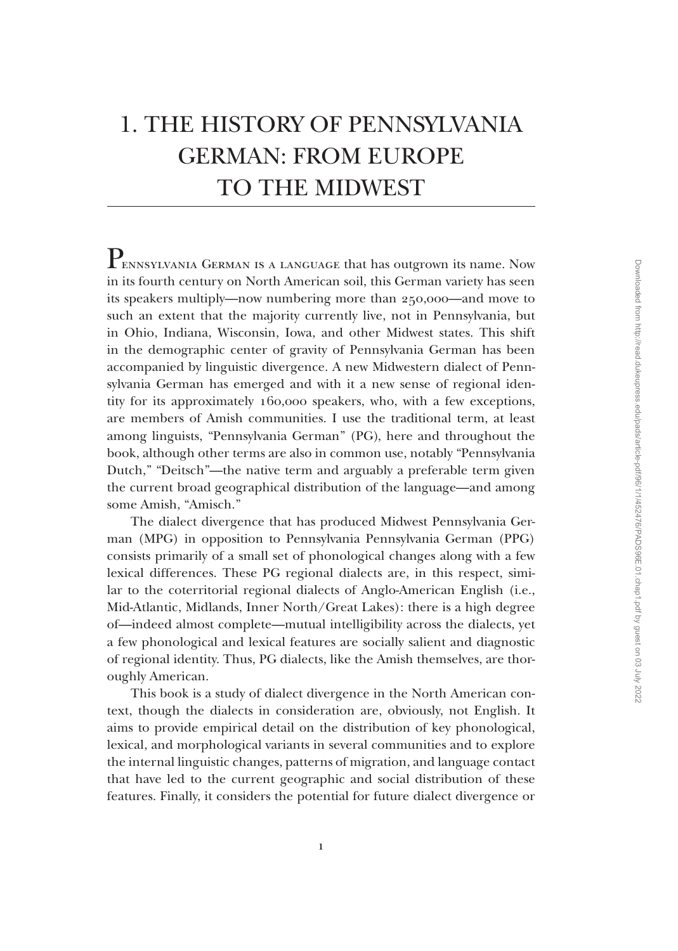# 1. The History of Pennsylvania German: From Europe to the Midwest

PENNSYLVANIA GERMAN IS A LANGUAGE that has outgrown its name. Now in its fourth century on North American soil, this German variety has seen its speakers multiply—now numbering more than 250,000—and move to such an extent that the majority currently live, not in Pennsylvania, but in Ohio, Indiana, Wisconsin, Iowa, and other Midwest states. This shift in the demographic center of gravity of Pennsylvania German has been accompanied by linguistic divergence. A new Midwestern dialect of Pennsylvania German has emerged and with it a new sense of regional identity for its approximately 160,000 speakers, who, with a few exceptions, are members of Amish communities. I use the traditional term, at least among linguists, "Pennsylvania German" (PG), here and throughout the book, although other terms are also in common use, notably "Pennsylvania Dutch," "Deitsch"—the native term and arguably a preferable term given the current broad geographical distribution of the language—and among some Amish, "Amisch."

The dialect divergence that has produced Midwest Pennsylvania German (MPG) in opposition to Pennsylvania Pennsylvania German (PPG) consists primarily of a small set of phonological changes along with a few lexical differences. These PG regional dialects are, in this respect, similar to the coterritorial regional dialects of Anglo-American English (i.e., Mid-Atlantic, Midlands, Inner North/Great Lakes): there is a high degree of—indeed almost complete—mutual intelligibility across the dialects, yet a few phonological and lexical features are socially salient and diagnostic of regional identity. Thus, PG dialects, like the Amish themselves, are thoroughly American.

This book is a study of dialect divergence in the North American context, though the dialects in consideration are, obviously, not English. It aims to provide empirical detail on the distribution of key phonological, lexical, and morphological variants in several communities and to explore the internal linguistic changes, patterns of migration, and language contact that have led to the current geographic and social distribution of these features. Finally, it considers the potential for future dialect divergence or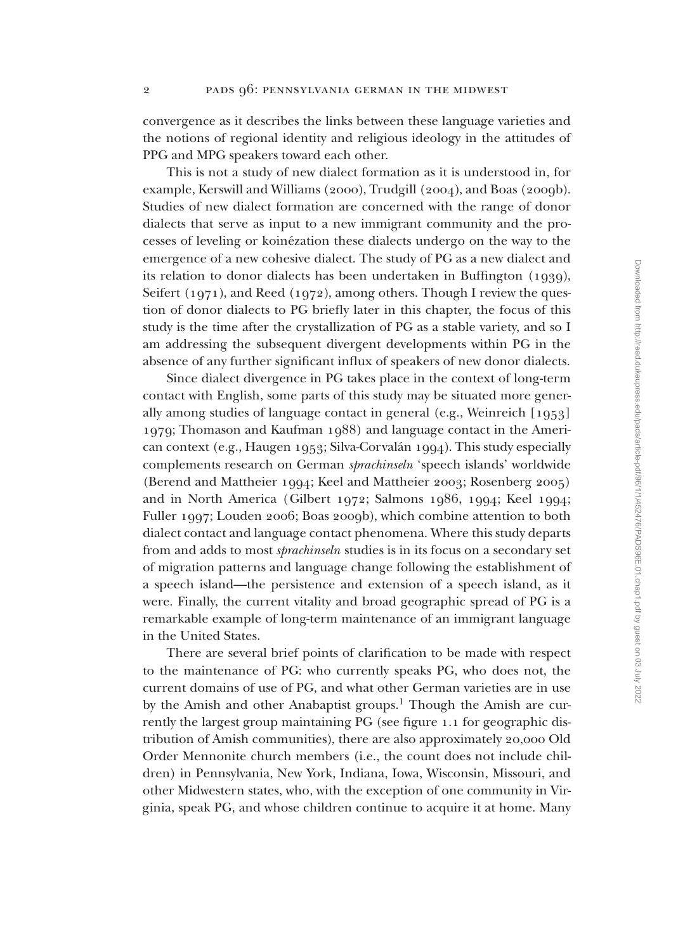convergence as it describes the links between these language varieties and the notions of regional identity and religious ideology in the attitudes of PPG and MPG speakers toward each other.

This is not a study of new dialect formation as it is understood in, for example, Kerswill and Williams (2000), Trudgill (2004), and Boas (2009b). Studies of new dialect formation are concerned with the range of donor dialects that serve as input to a new immigrant community and the processes of leveling or koinézation these dialects undergo on the way to the emergence of a new cohesive dialect. The study of PG as a new dialect and its relation to donor dialects has been undertaken in Buffington (1939), Seifert (1971), and Reed (1972), among others. Though I review the question of donor dialects to PG briefly later in this chapter, the focus of this study is the time after the crystallization of PG as a stable variety, and so I am addressing the subsequent divergent developments within PG in the absence of any further significant influx of speakers of new donor dialects.

Since dialect divergence in PG takes place in the context of long-term contact with English, some parts of this study may be situated more generally among studies of language contact in general (e.g., Weinreich [1953] 1979; Thomason and Kaufman 1988) and language contact in the American context (e.g., Haugen 1953; Silva-Corvalán 1994). This study especially complements research on German *sprachinseln* 'speech islands' worldwide (Berend and Mattheier 1994; Keel and Mattheier 2003; Rosenberg 2005) and in North America (Gilbert 1972; Salmons 1986, 1994; Keel 1994; Fuller 1997; Louden 2006; Boas 2009b), which combine attention to both dialect contact and language contact phenomena. Where this study departs from and adds to most *sprachinseln* studies is in its focus on a secondary set of migration patterns and language change following the establishment of a speech island—the persistence and extension of a speech island, as it were. Finally, the current vitality and broad geographic spread of PG is a remarkable example of long-term maintenance of an immigrant language in the United States.

There are several brief points of clarification to be made with respect to the maintenance of PG: who currently speaks PG, who does not, the current domains of use of PG, and what other German varieties are in use by the Amish and other Anabaptist groups.<sup>1</sup> Though the Amish are currently the largest group maintaining PG (see figure 1.1 for geographic distribution of Amish communities), there are also approximately 20,000 Old Order Mennonite church members (i.e., the count does not include children) in Pennsylvania, New York, Indiana, Iowa, Wisconsin, Missouri, and other Midwestern states, who, with the exception of one community in Virginia, speak PG, and whose children continue to acquire it at home. Many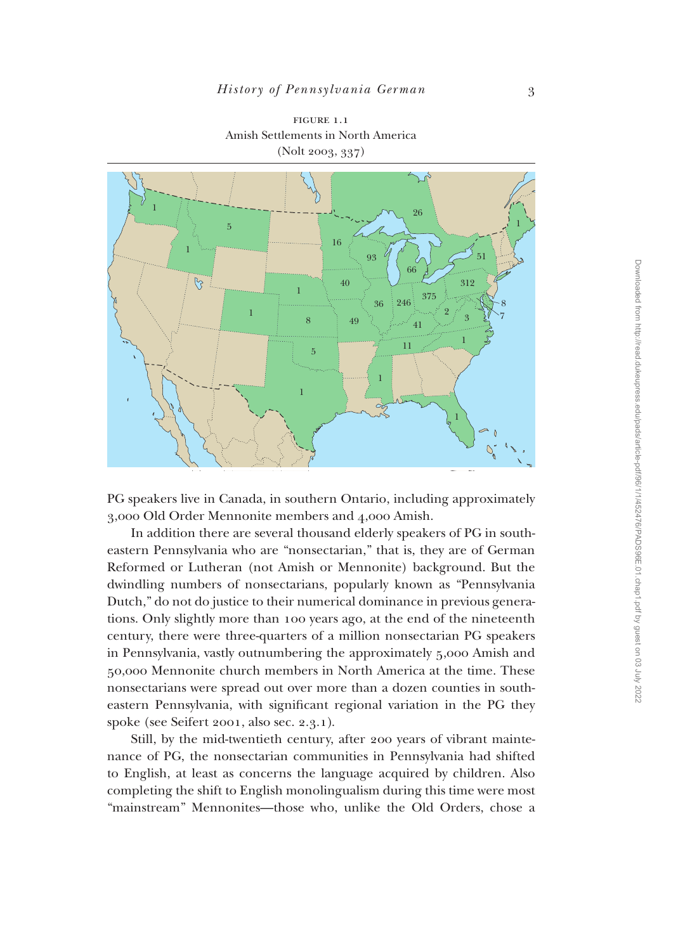

figure 1.1 Amish Settlements in North America (Nolt 2003, 337)

PG speakers live in Canada, in southern Ontario, including approximately 3,000 Old Order Mennonite members and 4,000 Amish.

In addition there are several thousand elderly speakers of PG in southeastern Pennsylvania who are "nonsectarian," that is, they are of German Reformed or Lutheran (not Amish or Mennonite) background. But the dwindling numbers of nonsectarians, popularly known as "Pennsylvania Dutch," do not do justice to their numerical dominance in previous generations. Only slightly more than 100 years ago, at the end of the nineteenth century, there were three-quarters of a million nonsectarian PG speakers in Pennsylvania, vastly outnumbering the approximately 5,000 Amish and 50,000 Mennonite church members in North America at the time. These nonsectarians were spread out over more than a dozen counties in southeastern Pennsylvania, with significant regional variation in the PG they spoke (see Seifert 2001, also sec. 2.3.1).

Still, by the mid-twentieth century, after 200 years of vibrant maintenance of PG, the nonsectarian communities in Pennsylvania had shifted to English, at least as concerns the language acquired by children. Also completing the shift to English monolingualism during this time were most "mainstream" Mennonites—those who, unlike the Old Orders, chose a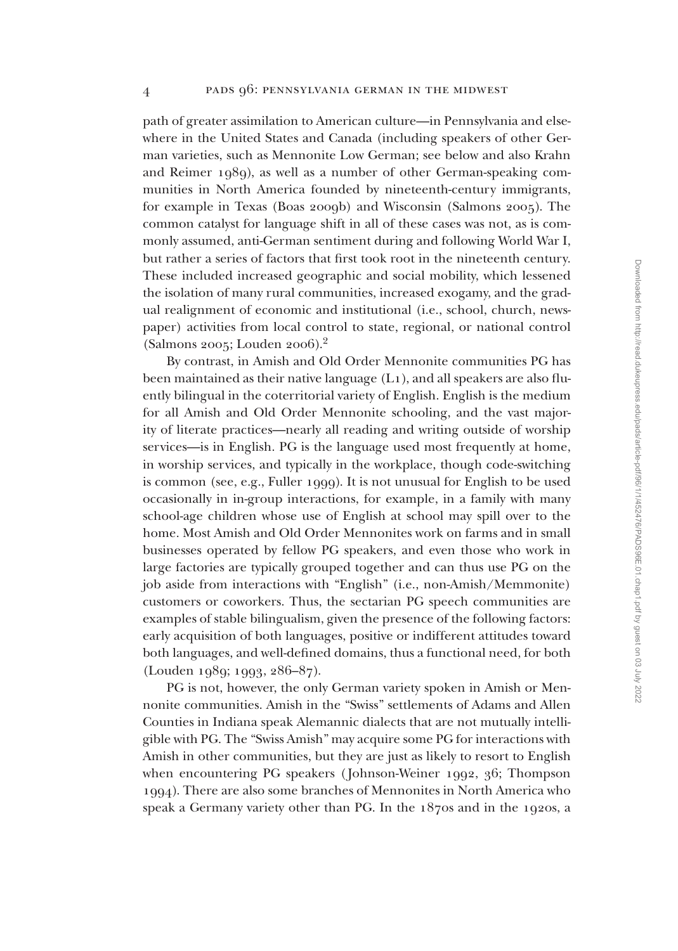path of greater assimilation to American culture—in Pennsylvania and elsewhere in the United States and Canada (including speakers of other German varieties, such as Mennonite Low German; see below and also Krahn and Reimer 1989), as well as a number of other German-speaking communities in North America founded by nineteenth-century immigrants, for example in Texas (Boas 2009b) and Wisconsin (Salmons 2005). The common catalyst for language shift in all of these cases was not, as is commonly assumed, anti-German sentiment during and following World War I, but rather a series of factors that first took root in the nineteenth century. These included increased geographic and social mobility, which lessened the isolation of many rural communities, increased exogamy, and the gradual realignment of economic and institutional (i.e., school, church, newspaper) activities from local control to state, regional, or national control (Salmons 2005; Louden 2006).<sup>2</sup>

By contrast, in Amish and Old Order Mennonite communities PG has been maintained as their native language (L1), and all speakers are also fluently bilingual in the coterritorial variety of English. English is the medium for all Amish and Old Order Mennonite schooling, and the vast majority of literate practices—nearly all reading and writing outside of worship services—is in English. PG is the language used most frequently at home, in worship services, and typically in the workplace, though code-switching is common (see, e.g., Fuller 1999). It is not unusual for English to be used occasionally in in-group interactions, for example, in a family with many school-age children whose use of English at school may spill over to the home. Most Amish and Old Order Mennonites work on farms and in small businesses operated by fellow PG speakers, and even those who work in large factories are typically grouped together and can thus use PG on the job aside from interactions with "English" (i.e., non-Amish/Memmonite) customers or coworkers. Thus, the sectarian PG speech communities are examples of stable bilingualism, given the presence of the following factors: early acquisition of both languages, positive or indifferent attitudes toward both languages, and well-defined domains, thus a functional need, for both (Louden 1989; 1993, 286–87).

PG is not, however, the only German variety spoken in Amish or Mennonite communities. Amish in the "Swiss" settlements of Adams and Allen Counties in Indiana speak Alemannic dialects that are not mutually intelligible with PG. The "Swiss Amish" may acquire some PG for interactions with Amish in other communities, but they are just as likely to resort to English when encountering PG speakers (Johnson-Weiner 1992, 36; Thompson 1994). There are also some branches of Mennonites in North America who speak a Germany variety other than PG. In the 1870s and in the 1920s, a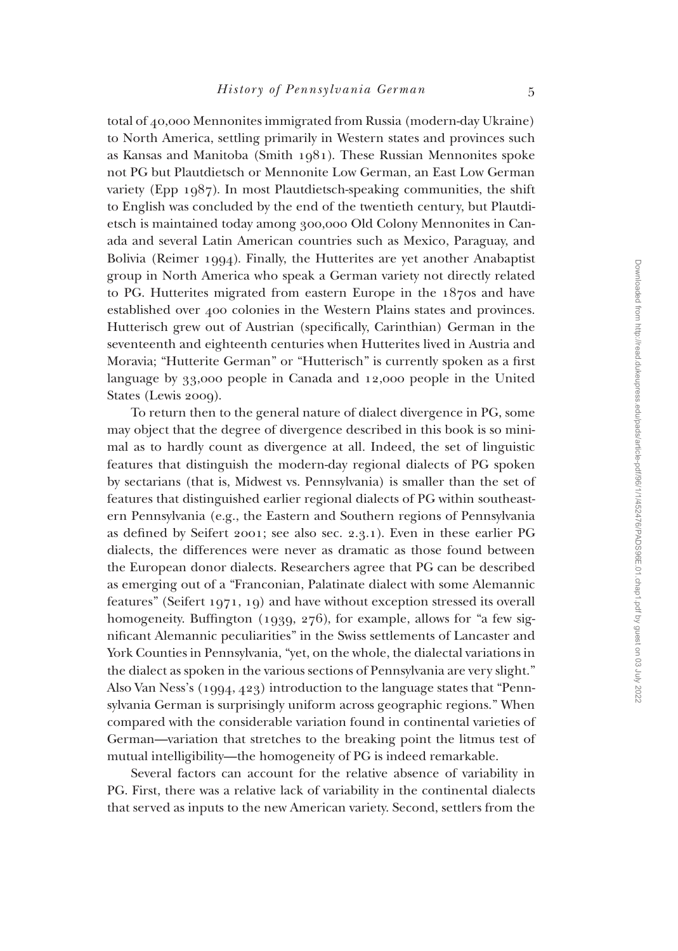total of 40,000 Mennonites immigrated from Russia (modern-day Ukraine) to North America, settling primarily in Western states and provinces such as Kansas and Manitoba (Smith 1981). These Russian Mennonites spoke not PG but Plautdietsch or Mennonite Low German, an East Low German variety (Epp  $1987$ ). In most Plautdietsch-speaking communities, the shift to English was concluded by the end of the twentieth century, but Plautdietsch is maintained today among 300,000 Old Colony Mennonites in Canada and several Latin American countries such as Mexico, Paraguay, and Bolivia (Reimer 1994). Finally, the Hutterites are yet another Anabaptist group in North America who speak a German variety not directly related to PG. Hutterites migrated from eastern Europe in the 1870s and have established over 400 colonies in the Western Plains states and provinces. Hutterisch grew out of Austrian (specifically, Carinthian) German in the seventeenth and eighteenth centuries when Hutterites lived in Austria and Moravia; "Hutterite German" or "Hutterisch" is currently spoken as a first language by 33,000 people in Canada and 12,000 people in the United States (Lewis 2009).

To return then to the general nature of dialect divergence in PG, some may object that the degree of divergence described in this book is so minimal as to hardly count as divergence at all. Indeed, the set of linguistic features that distinguish the modern-day regional dialects of PG spoken by sectarians (that is, Midwest vs. Pennsylvania) is smaller than the set of features that distinguished earlier regional dialects of PG within southeastern Pennsylvania (e.g., the Eastern and Southern regions of Pennsylvania as defined by Seifert 2001; see also sec. 2.3.1). Even in these earlier PG dialects, the differences were never as dramatic as those found between the European donor dialects. Researchers agree that PG can be described as emerging out of a "Franconian, Palatinate dialect with some Alemannic features" (Seifert 1971, 19) and have without exception stressed its overall homogeneity. Buffington (1939, 276), for example, allows for "a few significant Alemannic peculiarities" in the Swiss settlements of Lancaster and York Counties in Pennsylvania, "yet, on the whole, the dialectal variations in the dialect as spoken in the various sections of Pennsylvania are very slight." Also Van Ness's (1994, 423) introduction to the language states that "Pennsylvania German is surprisingly uniform across geographic regions." When compared with the considerable variation found in continental varieties of German—variation that stretches to the breaking point the litmus test of mutual intelligibility—the homogeneity of PG is indeed remarkable.

Several factors can account for the relative absence of variability in PG. First, there was a relative lack of variability in the continental dialects that served as inputs to the new American variety. Second, settlers from the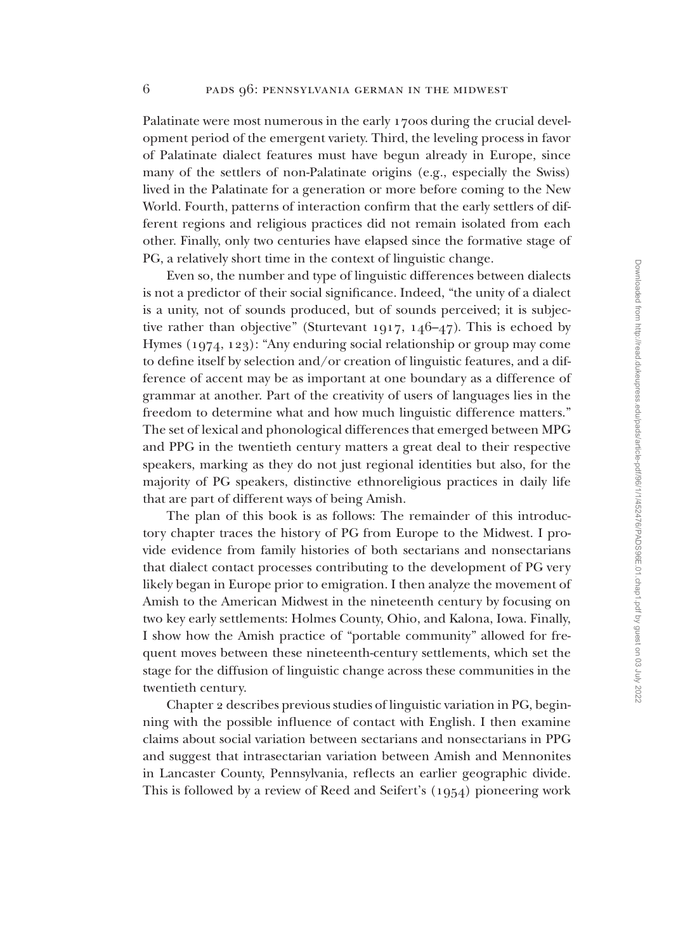Palatinate were most numerous in the early 1700s during the crucial development period of the emergent variety. Third, the leveling process in favor of Palatinate dialect features must have begun already in Europe, since many of the settlers of non-Palatinate origins (e.g., especially the Swiss) lived in the Palatinate for a generation or more before coming to the New World. Fourth, patterns of interaction confirm that the early settlers of different regions and religious practices did not remain isolated from each other. Finally, only two centuries have elapsed since the formative stage of PG, a relatively short time in the context of linguistic change.

Even so, the number and type of linguistic differences between dialects is not a predictor of their social significance. Indeed, "the unity of a dialect is a unity, not of sounds produced, but of sounds perceived; it is subjective rather than objective" (Sturtevant 1917, 146–47). This is echoed by Hymes (1974, 123): "Any enduring social relationship or group may come to define itself by selection and/or creation of linguistic features, and a difference of accent may be as important at one boundary as a difference of grammar at another. Part of the creativity of users of languages lies in the freedom to determine what and how much linguistic difference matters." The set of lexical and phonological differences that emerged between MPG and PPG in the twentieth century matters a great deal to their respective speakers, marking as they do not just regional identities but also, for the majority of PG speakers, distinctive ethnoreligious practices in daily life that are part of different ways of being Amish.

The plan of this book is as follows: The remainder of this introductory chapter traces the history of PG from Europe to the Midwest. I provide evidence from family histories of both sectarians and nonsectarians that dialect contact processes contributing to the development of PG very likely began in Europe prior to emigration. I then analyze the movement of Amish to the American Midwest in the nineteenth century by focusing on two key early settlements: Holmes County, Ohio, and Kalona, Iowa. Finally, I show how the Amish practice of "portable community" allowed for frequent moves between these nineteenth-century settlements, which set the stage for the diffusion of linguistic change across these communities in the twentieth century.

Chapter 2 describes previous studies of linguistic variation in PG, beginning with the possible influence of contact with English. I then examine claims about social variation between sectarians and nonsectarians in PPG and suggest that intrasectarian variation between Amish and Mennonites in Lancaster County, Pennsylvania, reflects an earlier geographic divide. This is followed by a review of Reed and Seifert's (1954) pioneering work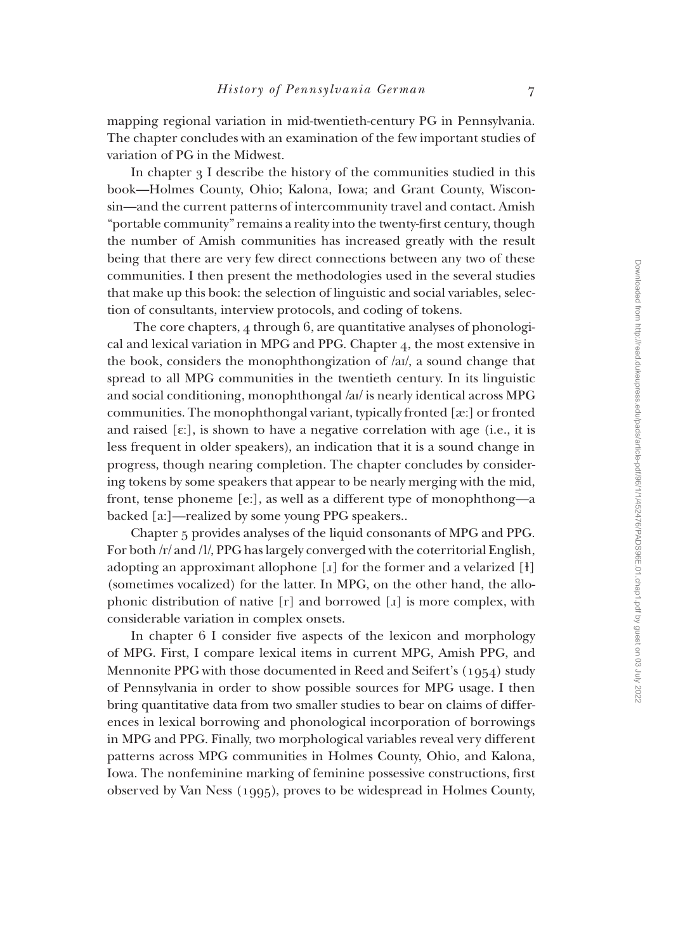mapping regional variation in mid-twentieth-century PG in Pennsylvania. The chapter concludes with an examination of the few important studies of variation of PG in the Midwest.

In chapter 3 I describe the history of the communities studied in this book—Holmes County, Ohio; Kalona, Iowa; and Grant County, Wisconsin—and the current patterns of intercommunity travel and contact. Amish "portable community" remains a reality into the twenty-first century, though the number of Amish communities has increased greatly with the result being that there are very few direct connections between any two of these communities. I then present the methodologies used in the several studies that make up this book: the selection of linguistic and social variables, selection of consultants, interview protocols, and coding of tokens.

 The core chapters, 4 through 6, are quantitative analyses of phonological and lexical variation in MPG and PPG. Chapter 4, the most extensive in the book, considers the monophthongization of /aI/, a sound change that spread to all MPG communities in the twentieth century. In its linguistic and social conditioning, monophthongal /aI/ is nearly identical across MPG communities. The monophthongal variant, typically fronted [æ:] or fronted and raised  $[\epsilon]$ , is shown to have a negative correlation with age (i.e., it is less frequent in older speakers), an indication that it is a sound change in progress, though nearing completion. The chapter concludes by considering tokens by some speakers that appear to be nearly merging with the mid, front, tense phoneme [e:], as well as a different type of monophthong—a backed [a:]—realized by some young PPG speakers..

Chapter 5 provides analyses of the liquid consonants of MPG and PPG. For both /r/ and /l/, PPG has largely converged with the coterritorial English, adopting an approximant allophone  $[x]$  for the former and a velarized  $[H]$ (sometimes vocalized) for the latter. In MPG, on the other hand, the allophonic distribution of native  $[r]$  and borrowed  $[i]$  is more complex, with considerable variation in complex onsets.

In chapter 6 I consider five aspects of the lexicon and morphology of MPG. First, I compare lexical items in current MPG, Amish PPG, and Mennonite PPG with those documented in Reed and Seifert's (1954) study of Pennsylvania in order to show possible sources for MPG usage. I then bring quantitative data from two smaller studies to bear on claims of differences in lexical borrowing and phonological incorporation of borrowings in MPG and PPG. Finally, two morphological variables reveal very different patterns across MPG communities in Holmes County, Ohio, and Kalona, Iowa. The nonfeminine marking of feminine possessive constructions, first observed by Van Ness (1995), proves to be widespread in Holmes County,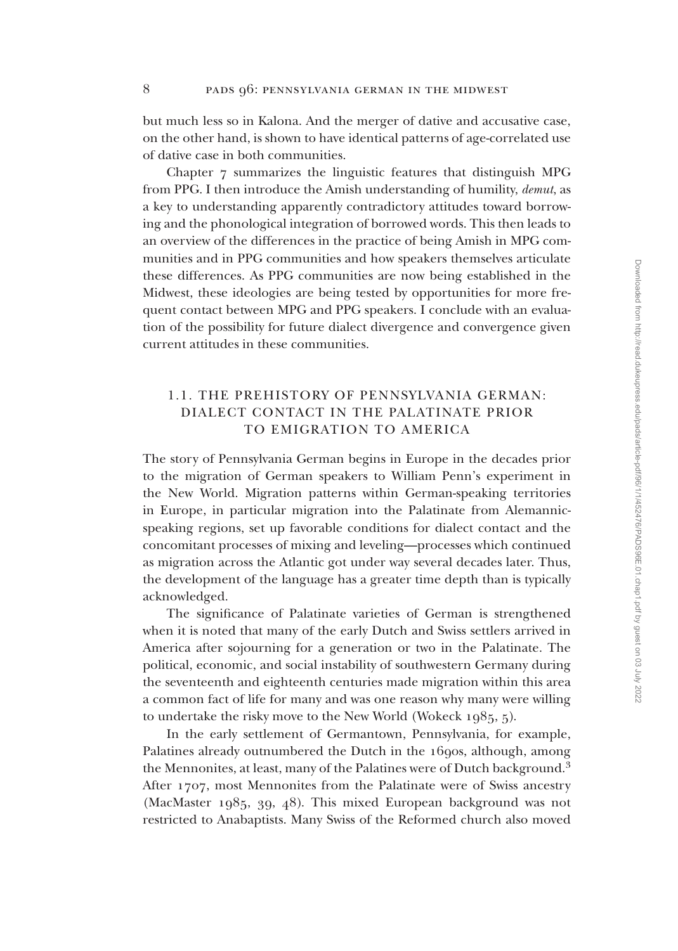but much less so in Kalona. And the merger of dative and accusative case, on the other hand, is shown to have identical patterns of age-correlated use of dative case in both communities.

Chapter 7 summarizes the linguistic features that distinguish MPG from PPG. I then introduce the Amish understanding of humility, *demut*, as a key to understanding apparently contradictory attitudes toward borrowing and the phonological integration of borrowed words. This then leads to an overview of the differences in the practice of being Amish in MPG communities and in PPG communities and how speakers themselves articulate these differences. As PPG communities are now being established in the Midwest, these ideologies are being tested by opportunities for more frequent contact between MPG and PPG speakers. I conclude with an evaluation of the possibility for future dialect divergence and convergence given current attitudes in these communities.

# 1.1. THE PREHISTORY OF PENNSYLVANIA GERMAN: DIALECT CONTACT IN THE PALATINATE PRIOR TO EMIGRATION TO AMERICA

The story of Pennsylvania German begins in Europe in the decades prior to the migration of German speakers to William Penn's experiment in the New World. Migration patterns within German-speaking territories in Europe, in particular migration into the Palatinate from Alemannicspeaking regions, set up favorable conditions for dialect contact and the concomitant processes of mixing and leveling—processes which continued as migration across the Atlantic got under way several decades later. Thus, the development of the language has a greater time depth than is typically acknowledged.

The significance of Palatinate varieties of German is strengthened when it is noted that many of the early Dutch and Swiss settlers arrived in America after sojourning for a generation or two in the Palatinate. The political, economic, and social instability of southwestern Germany during the seventeenth and eighteenth centuries made migration within this area a common fact of life for many and was one reason why many were willing to undertake the risky move to the New World (Wokeck 1985, 5).

In the early settlement of Germantown, Pennsylvania, for example, Palatines already outnumbered the Dutch in the 1690s, although, among the Mennonites, at least, many of the Palatines were of Dutch background.<sup>3</sup> After 1707, most Mennonites from the Palatinate were of Swiss ancestry (MacMaster 1985, 39, 48). This mixed European background was not restricted to Anabaptists. Many Swiss of the Reformed church also moved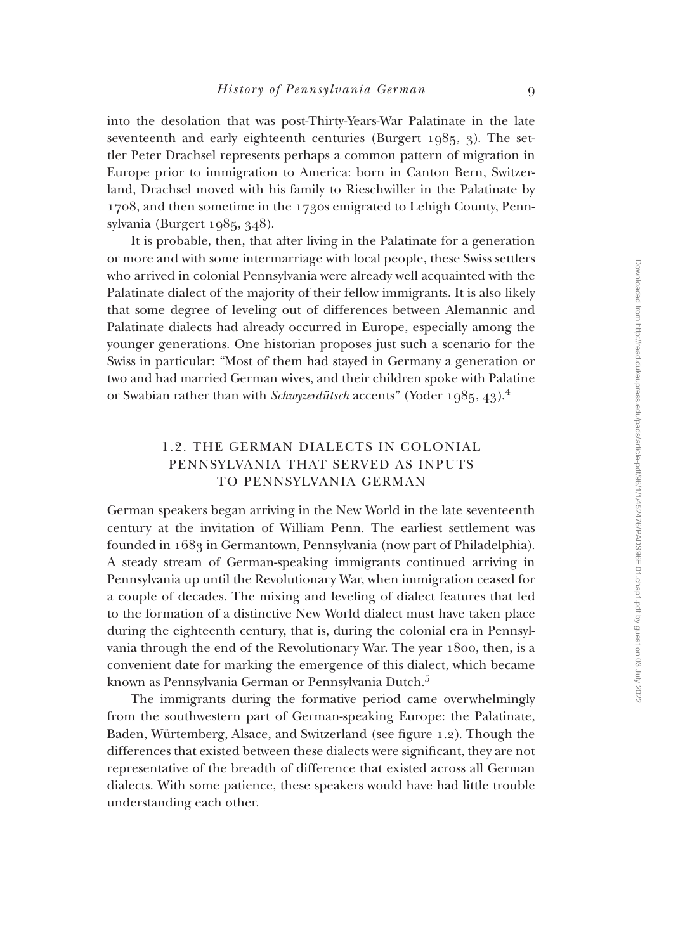into the desolation that was post-Thirty-Years-War Palatinate in the late seventeenth and early eighteenth centuries (Burgert 1985, 3). The settler Peter Drachsel represents perhaps a common pattern of migration in Europe prior to immigration to America: born in Canton Bern, Switzerland, Drachsel moved with his family to Rieschwiller in the Palatinate by 1708, and then sometime in the 1730s emigrated to Lehigh County, Pennsylvania (Burgert 1985, 348).

It is probable, then, that after living in the Palatinate for a generation or more and with some intermarriage with local people, these Swiss settlers who arrived in colonial Pennsylvania were already well acquainted with the Palatinate dialect of the majority of their fellow immigrants. It is also likely that some degree of leveling out of differences between Alemannic and Palatinate dialects had already occurred in Europe, especially among the younger generations. One historian proposes just such a scenario for the Swiss in particular: "Most of them had stayed in Germany a generation or two and had married German wives, and their children spoke with Palatine or Swabian rather than with *Schwyzerdütsch* accents" (Yoder 1985, 43).<sup>4</sup>

# 1.2. THE GERMAN DIALECTS IN COLONIAL PENNSYLVANIA THAT SERVED AS INPUTS TO PENNSYLVANIA GERMAN

German speakers began arriving in the New World in the late seventeenth century at the invitation of William Penn. The earliest settlement was founded in 1683 in Germantown, Pennsylvania (now part of Philadelphia). A steady stream of German-speaking immigrants continued arriving in Pennsylvania up until the Revolutionary War, when immigration ceased for a couple of decades. The mixing and leveling of dialect features that led to the formation of a distinctive New World dialect must have taken place during the eighteenth century, that is, during the colonial era in Pennsylvania through the end of the Revolutionary War. The year 1800, then, is a convenient date for marking the emergence of this dialect, which became known as Pennsylvania German or Pennsylvania Dutch.<sup>5</sup>

The immigrants during the formative period came overwhelmingly from the southwestern part of German-speaking Europe: the Palatinate, Baden, Würtemberg, Alsace, and Switzerland (see figure 1.2). Though the differences that existed between these dialects were significant, they are not representative of the breadth of difference that existed across all German dialects. With some patience, these speakers would have had little trouble understanding each other.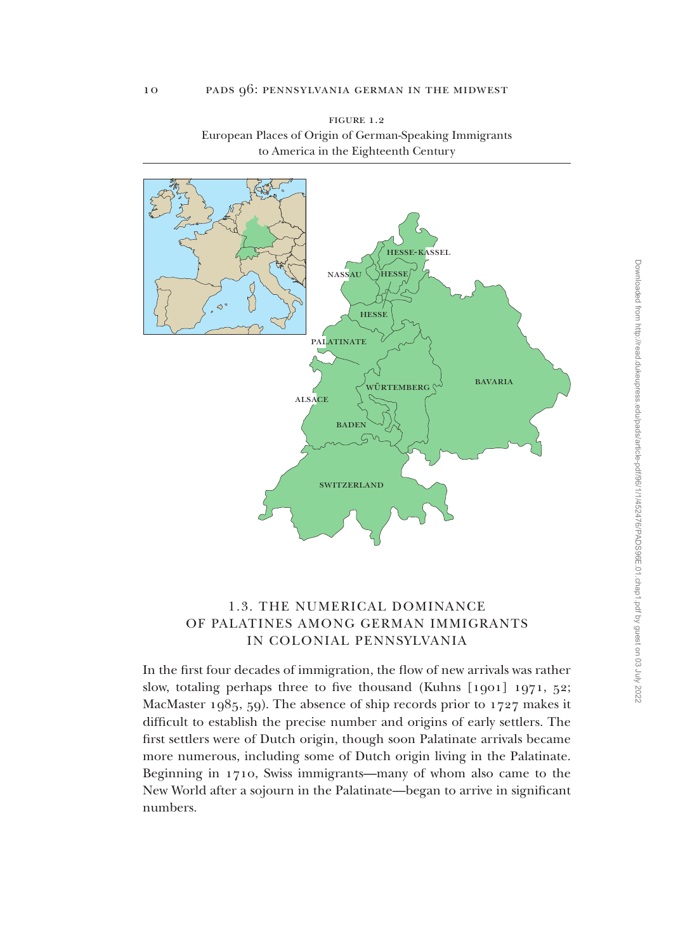



# 1.3. THE NUMERICAL DOMINANCE OF PALATINES AMONG GERMAN IMMIGRANTS IN COLONIAL PENNSYLVANIA

In the first four decades of immigration, the flow of new arrivals was rather slow, totaling perhaps three to five thousand (Kuhns [1901] 1971, 52; MacMaster 1985, 59). The absence of ship records prior to 1727 makes it difficult to establish the precise number and origins of early settlers. The first settlers were of Dutch origin, though soon Palatinate arrivals became more numerous, including some of Dutch origin living in the Palatinate. Beginning in 1710, Swiss immigrants—many of whom also came to the New World after a sojourn in the Palatinate—began to arrive in significant numbers.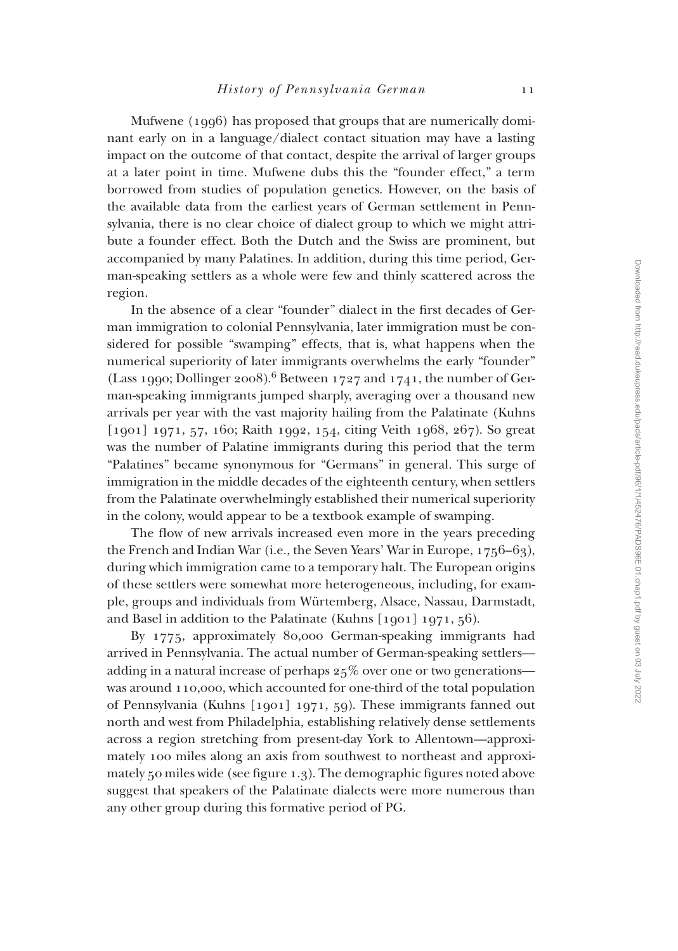Mufwene (1996) has proposed that groups that are numerically dominant early on in a language/dialect contact situation may have a lasting impact on the outcome of that contact, despite the arrival of larger groups at a later point in time. Mufwene dubs this the "founder effect," a term borrowed from studies of population genetics. However, on the basis of the available data from the earliest years of German settlement in Pennsylvania, there is no clear choice of dialect group to which we might attribute a founder effect. Both the Dutch and the Swiss are prominent, but accompanied by many Palatines. In addition, during this time period, German-speaking settlers as a whole were few and thinly scattered across the region.

In the absence of a clear "founder" dialect in the first decades of German immigration to colonial Pennsylvania, later immigration must be considered for possible "swamping" effects, that is, what happens when the numerical superiority of later immigrants overwhelms the early "founder" (Lass 1990; Dollinger 2008).<sup>6</sup> Between 1727 and 1741, the number of German-speaking immigrants jumped sharply, averaging over a thousand new arrivals per year with the vast majority hailing from the Palatinate (Kuhns [1901] 1971, 57, 160; Raith 1992, 154, citing Veith 1968, 267). So great was the number of Palatine immigrants during this period that the term "Palatines" became synonymous for "Germans" in general. This surge of immigration in the middle decades of the eighteenth century, when settlers from the Palatinate overwhelmingly established their numerical superiority in the colony, would appear to be a textbook example of swamping.

The flow of new arrivals increased even more in the years preceding the French and Indian War (i.e., the Seven Years' War in Europe, 1756–63), during which immigration came to a temporary halt. The European origins of these settlers were somewhat more heterogeneous, including, for example, groups and individuals from Würtemberg, Alsace, Nassau, Darmstadt, and Basel in addition to the Palatinate (Kuhns [1901] 1971, 56).

By 1775, approximately 80,000 German-speaking immigrants had arrived in Pennsylvania. The actual number of German-speaking settlers adding in a natural increase of perhaps 25% over one or two generations was around 110,000, which accounted for one-third of the total population of Pennsylvania (Kuhns [1901] 1971, 59). These immigrants fanned out north and west from Philadelphia, establishing relatively dense settlements across a region stretching from present-day York to Allentown—approximately 100 miles along an axis from southwest to northeast and approximately 50 miles wide (see figure 1.3). The demographic figures noted above suggest that speakers of the Palatinate dialects were more numerous than any other group during this formative period of PG.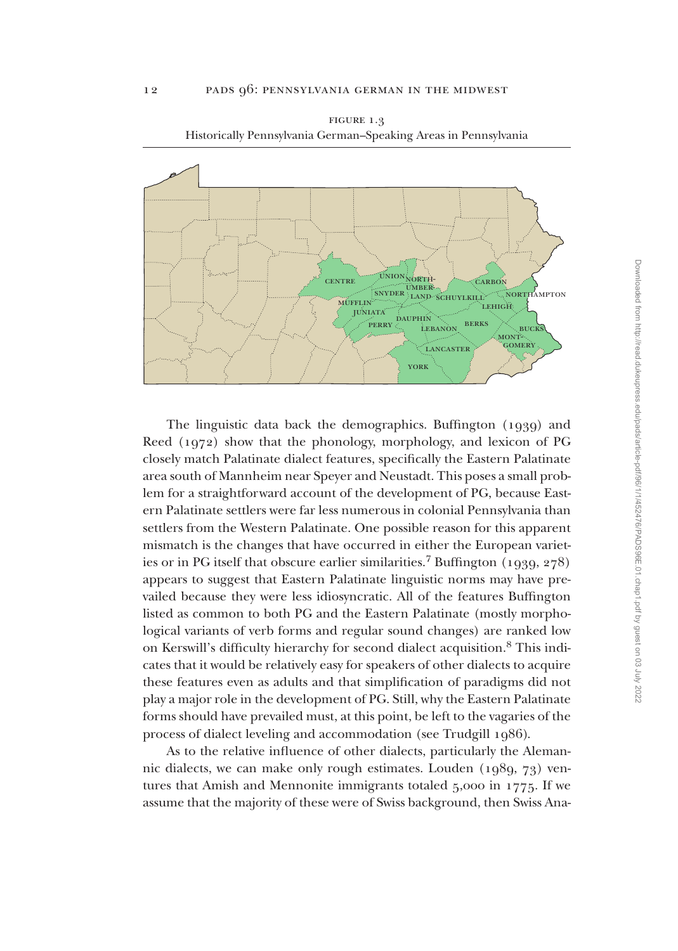

figure 1.3 Historically Pennsylvania German–Speaking Areas in Pennsylvania

The linguistic data back the demographics. Buffington (1939) and Reed (1972) show that the phonology, morphology, and lexicon of PG closely match Palatinate dialect features, specifically the Eastern Palatinate area south of Mannheim near Speyer and Neustadt. This poses a small problem for a straightforward account of the development of PG, because Eastern Palatinate settlers were far less numerous in colonial Pennsylvania than settlers from the Western Palatinate. One possible reason for this apparent mismatch is the changes that have occurred in either the European varieties or in PG itself that obscure earlier similarities.<sup>7</sup> Buffington (1939, 278) appears to suggest that Eastern Palatinate linguistic norms may have prevailed because they were less idiosyncratic. All of the features Buffington listed as common to both PG and the Eastern Palatinate (mostly morphological variants of verb forms and regular sound changes) are ranked low on Kerswill's difficulty hierarchy for second dialect acquisition.8 This indicates that it would be relatively easy for speakers of other dialects to acquire these features even as adults and that simplification of paradigms did not play a major role in the development of PG. Still, why the Eastern Palatinate forms should have prevailed must, at this point, be left to the vagaries of the process of dialect leveling and accommodation (see Trudgill 1986).

As to the relative influence of other dialects, particularly the Alemannic dialects, we can make only rough estimates. Louden (1989, 73) ventures that Amish and Mennonite immigrants totaled 5,000 in 1775. If we assume that the majority of these were of Swiss background, then Swiss AnaDownloaded from http://read.dukeupress.edu/pads/article-pdf/96/1/1/452476/PADS96E.01.chap1.pdf by guest on 03 July 2022 Downloaded from http://read.dukeupress.edu/pads/article-pdf/96/1/1/452476/PADS96E.01.chap1.pdf by guest on 03 July 2022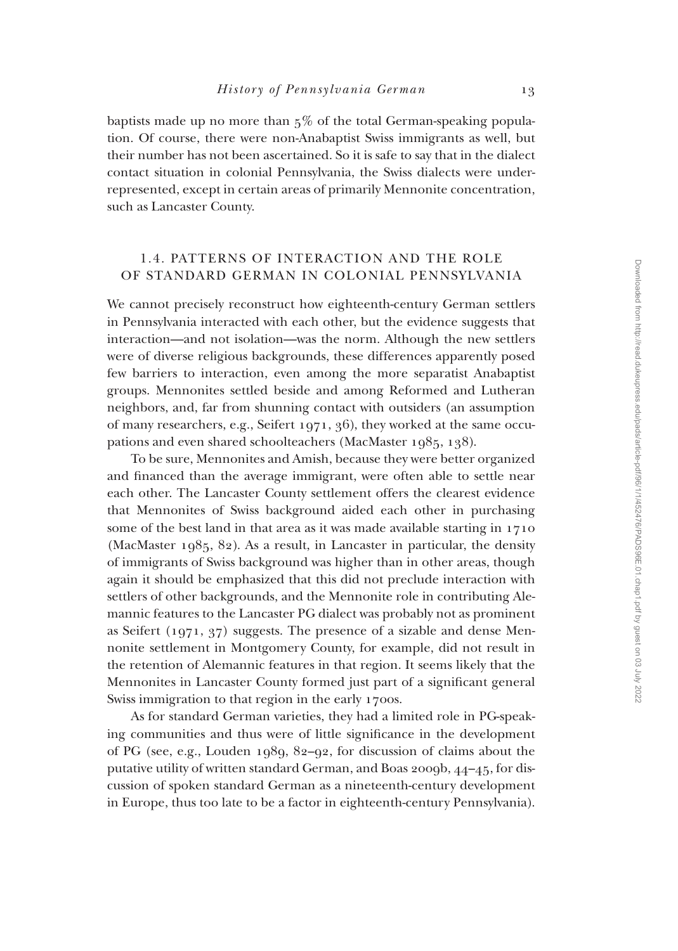baptists made up no more than  $5\%$  of the total German-speaking population. Of course, there were non-Anabaptist Swiss immigrants as well, but their number has not been ascertained. So it is safe to say that in the dialect contact situation in colonial Pennsylvania, the Swiss dialects were underrepresented, except in certain areas of primarily Mennonite concentration, such as Lancaster County.

## 1.4. PATTERNS OF INTERACTION AND THE ROLE OF STANDARD GERMAN IN COLONIAL PENNSYLVANIA

We cannot precisely reconstruct how eighteenth-century German settlers in Pennsylvania interacted with each other, but the evidence suggests that interaction—and not isolation—was the norm. Although the new settlers were of diverse religious backgrounds, these differences apparently posed few barriers to interaction, even among the more separatist Anabaptist groups. Mennonites settled beside and among Reformed and Lutheran neighbors, and, far from shunning contact with outsiders (an assumption of many researchers, e.g., Seifert 1971, 36), they worked at the same occupations and even shared schoolteachers (MacMaster 1985, 138).

To be sure, Mennonites and Amish, because they were better organized and financed than the average immigrant, were often able to settle near each other. The Lancaster County settlement offers the clearest evidence that Mennonites of Swiss background aided each other in purchasing some of the best land in that area as it was made available starting in 1710 (MacMaster 1985, 82). As a result, in Lancaster in particular, the density of immigrants of Swiss background was higher than in other areas, though again it should be emphasized that this did not preclude interaction with settlers of other backgrounds, and the Mennonite role in contributing Alemannic features to the Lancaster PG dialect was probably not as prominent as Seifert (1971, 37) suggests. The presence of a sizable and dense Mennonite settlement in Montgomery County, for example, did not result in the retention of Alemannic features in that region. It seems likely that the Mennonites in Lancaster County formed just part of a significant general Swiss immigration to that region in the early 1700s.

As for standard German varieties, they had a limited role in PG-speaking communities and thus were of little significance in the development of PG (see, e.g., Louden 1989, 82–92, for discussion of claims about the putative utility of written standard German, and Boas 2009b, 44–45, for discussion of spoken standard German as a nineteenth-century development in Europe, thus too late to be a factor in eighteenth-century Pennsylvania).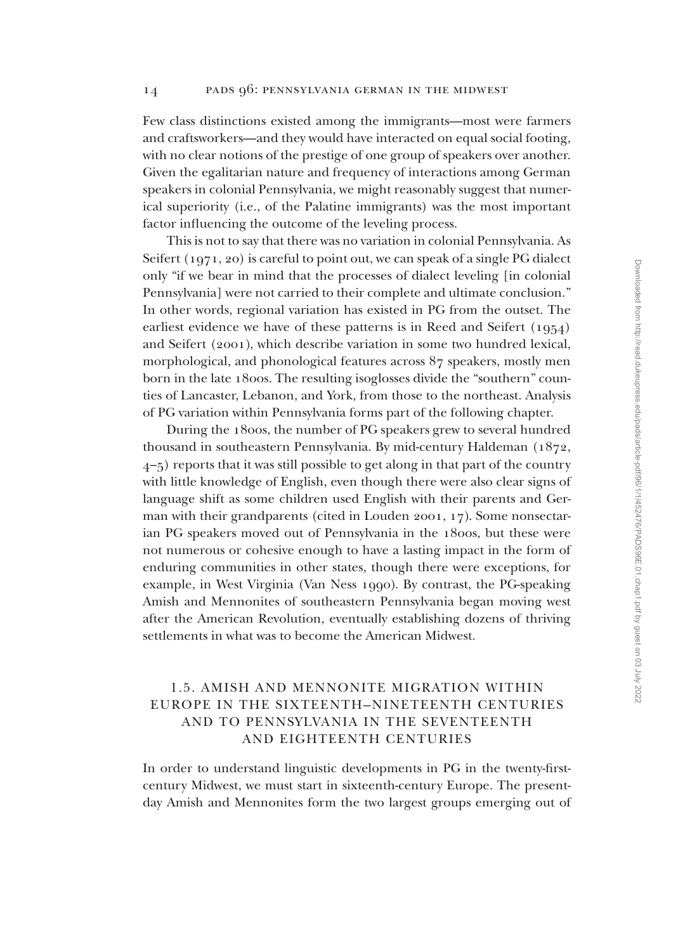Few class distinctions existed among the immigrants—most were farmers and craftsworkers—and they would have interacted on equal social footing, with no clear notions of the prestige of one group of speakers over another. Given the egalitarian nature and frequency of interactions among German speakers in colonial Pennsylvania, we might reasonably suggest that numerical superiority (i.e., of the Palatine immigrants) was the most important factor influencing the outcome of the leveling process.

This is not to say that there was no variation in colonial Pennsylvania. As Seifert (1971, 20) is careful to point out, we can speak of a single PG dialect only "if we bear in mind that the processes of dialect leveling [in colonial Pennsylvania] were not carried to their complete and ultimate conclusion." In other words, regional variation has existed in PG from the outset. The earliest evidence we have of these patterns is in Reed and Seifert (1954) and Seifert (2001), which describe variation in some two hundred lexical, morphological, and phonological features across 87 speakers, mostly men born in the late 1800s. The resulting isoglosses divide the "southern" counties of Lancaster, Lebanon, and York, from those to the northeast. Analysis of PG variation within Pennsylvania forms part of the following chapter.

During the 1800s, the number of PG speakers grew to several hundred thousand in southeastern Pennsylvania. By mid-century Haldeman (1872, 4–5) reports that it was still possible to get along in that part of the country with little knowledge of English, even though there were also clear signs of language shift as some children used English with their parents and German with their grandparents (cited in Louden 2001, 17). Some nonsectarian PG speakers moved out of Pennsylvania in the 1800s, but these were not numerous or cohesive enough to have a lasting impact in the form of enduring communities in other states, though there were exceptions, for example, in West Virginia (Van Ness 1990). By contrast, the PG-speaking Amish and Mennonites of southeastern Pennsylvania began moving west after the American Revolution, eventually establishing dozens of thriving settlements in what was to become the American Midwest.

# 1.5. AMISH AND MENNONITE MIGRATION WITHIN EUROPE IN THE sixteenTH–nineteenTH CENTURIES AND TO PENNSYLVANIA IN THE seventeenTH AND eighteenTH CENTURIES

In order to understand linguistic developments in PG in the twenty-firstcentury Midwest, we must start in sixteenth-century Europe. The presentday Amish and Mennonites form the two largest groups emerging out of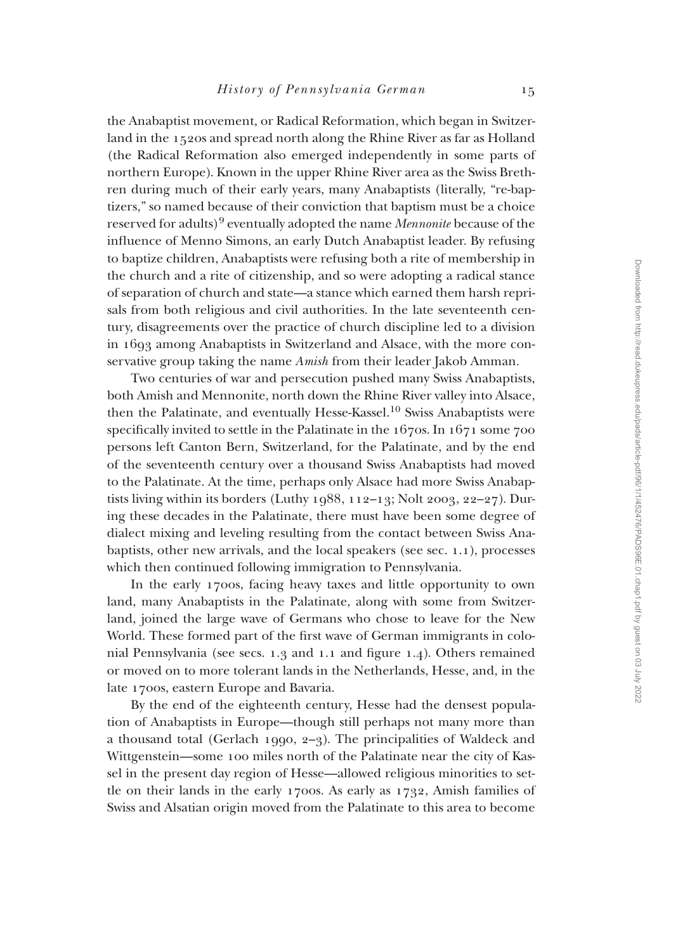the Anabaptist movement, or Radical Reformation, which began in Switzerland in the 1520s and spread north along the Rhine River as far as Holland (the Radical Reformation also emerged independently in some parts of northern Europe). Known in the upper Rhine River area as the Swiss Brethren during much of their early years, many Anabaptists (literally, "re-baptizers," so named because of their conviction that baptism must be a choice reserved for adults)<sup>9</sup> eventually adopted the name *Mennonite* because of the influence of Menno Simons, an early Dutch Anabaptist leader. By refusing to baptize children, Anabaptists were refusing both a rite of membership in the church and a rite of citizenship, and so were adopting a radical stance of separation of church and state—a stance which earned them harsh reprisals from both religious and civil authorities. In the late seventeenth century, disagreements over the practice of church discipline led to a division in 1693 among Anabaptists in Switzerland and Alsace, with the more conservative group taking the name *Amish* from their leader Jakob Amman.

Two centuries of war and persecution pushed many Swiss Anabaptists, both Amish and Mennonite, north down the Rhine River valley into Alsace, then the Palatinate, and eventually Hesse-Kassel.<sup>10</sup> Swiss Anabaptists were specifically invited to settle in the Palatinate in the 1670s. In 1671 some 700 persons left Canton Bern, Switzerland, for the Palatinate, and by the end of the seventeenth century over a thousand Swiss Anabaptists had moved to the Palatinate. At the time, perhaps only Alsace had more Swiss Anabaptists living within its borders (Luthy 1988, 112-13; Nolt 2003, 22-27). During these decades in the Palatinate, there must have been some degree of dialect mixing and leveling resulting from the contact between Swiss Anabaptists, other new arrivals, and the local speakers (see sec. 1.1), processes which then continued following immigration to Pennsylvania.

In the early 1700s, facing heavy taxes and little opportunity to own land, many Anabaptists in the Palatinate, along with some from Switzerland, joined the large wave of Germans who chose to leave for the New World. These formed part of the first wave of German immigrants in colonial Pennsylvania (see secs. 1.3 and 1.1 and figure 1.4). Others remained or moved on to more tolerant lands in the Netherlands, Hesse, and, in the late 1700s, eastern Europe and Bavaria.

By the end of the eighteenth century, Hesse had the densest population of Anabaptists in Europe—though still perhaps not many more than a thousand total (Gerlach 1990, 2–3). The principalities of Waldeck and Wittgenstein—some 100 miles north of the Palatinate near the city of Kassel in the present day region of Hesse—allowed religious minorities to settle on their lands in the early 1700s. As early as 1732, Amish families of Swiss and Alsatian origin moved from the Palatinate to this area to become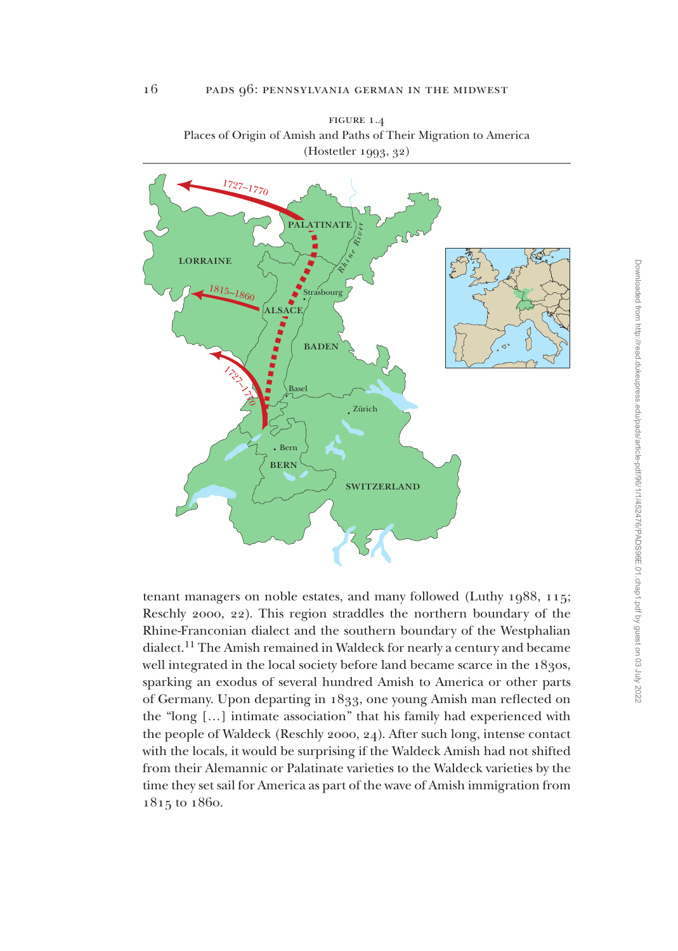

figure 1.4 Places of Origin of Amish and Paths of Their Migration to America (Hostetler 1993, 32)

tenant managers on noble estates, and many followed (Luthy 1988, 115; Reschly 2000, 22). This region straddles the northern boundary of the Rhine-Franconian dialect and the southern boundary of the Westphalian dialect.11 The Amish remained in Waldeck for nearly a century and became well integrated in the local society before land became scarce in the 1830s, sparking an exodus of several hundred Amish to America or other parts of Germany. Upon departing in 1833, one young Amish man reflected on the "long […] intimate association" that his family had experienced with the people of Waldeck (Reschly 2000, 24). After such long, intense contact with the locals, it would be surprising if the Waldeck Amish had not shifted from their Alemannic or Palatinate varieties to the Waldeck varieties by the time they set sail for America as part of the wave of Amish immigration from 1815 to 1860.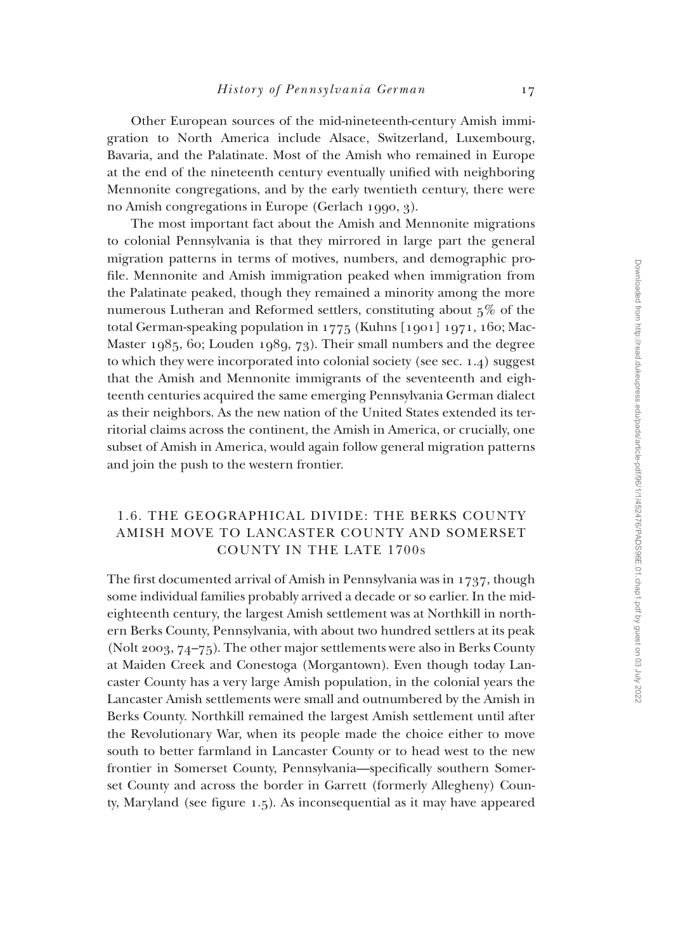Other European sources of the mid-nineteenth-century Amish immigration to North America include Alsace, Switzerland, Luxembourg, Bavaria, and the Palatinate. Most of the Amish who remained in Europe at the end of the nineteenth century eventually unified with neighboring Mennonite congregations, and by the early twentieth century, there were no Amish congregations in Europe (Gerlach 1990, 3).

The most important fact about the Amish and Mennonite migrations to colonial Pennsylvania is that they mirrored in large part the general migration patterns in terms of motives, numbers, and demographic profile. Mennonite and Amish immigration peaked when immigration from the Palatinate peaked, though they remained a minority among the more numerous Lutheran and Reformed settlers, constituting about 5% of the total German-speaking population in 1775 (Kuhns [1901] 1971, 160; Mac-Master 1985, 60; Louden 1989, 73). Their small numbers and the degree to which they were incorporated into colonial society (see sec. 1.4) suggest that the Amish and Mennonite immigrants of the seventeenth and eighteenth centuries acquired the same emerging Pennsylvania German dialect as their neighbors. As the new nation of the United States extended its territorial claims across the continent, the Amish in America, or crucially, one subset of Amish in America, would again follow general migration patterns and join the push to the western frontier.

# 1.6. THE GEOGRAPHICAL DIVIDE: THE BERKS COUNTY AMISH MOVE TO LANCASTER COUNTY AND SOMERSET COUNTY IN THE LATE 1700S

The first documented arrival of Amish in Pennsylvania was in 1737, though some individual families probably arrived a decade or so earlier. In the mideighteenth century, the largest Amish settlement was at Northkill in northern Berks County, Pennsylvania, with about two hundred settlers at its peak (Nolt 2003, 74–75). The other major settlements were also in Berks County at Maiden Creek and Conestoga (Morgantown). Even though today Lancaster County has a very large Amish population, in the colonial years the Lancaster Amish settlements were small and outnumbered by the Amish in Berks County. Northkill remained the largest Amish settlement until after the Revolutionary War, when its people made the choice either to move south to better farmland in Lancaster County or to head west to the new frontier in Somerset County, Pennsylvania—specifically southern Somerset County and across the border in Garrett (formerly Allegheny) County, Maryland (see figure 1.5). As inconsequential as it may have appeared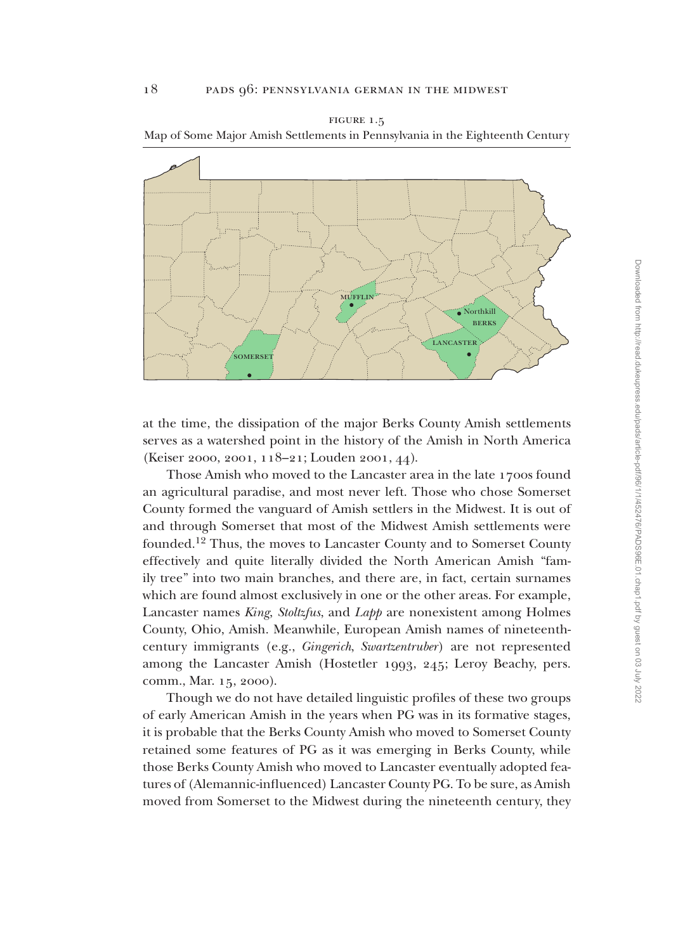

figure 1.5 Map of Some Major Amish Settlements in Pennsylvania in the Eighteenth Century

at the time, the dissipation of the major Berks County Amish settlements serves as a watershed point in the history of the Amish in North America (Keiser 2000, 2001, 118–21; Louden 2001, 44).

Those Amish who moved to the Lancaster area in the late 1700s found an agricultural paradise, and most never left. Those who chose Somerset County formed the vanguard of Amish settlers in the Midwest. It is out of and through Somerset that most of the Midwest Amish settlements were founded.<sup>12</sup> Thus, the moves to Lancaster County and to Somerset County effectively and quite literally divided the North American Amish "family tree" into two main branches, and there are, in fact, certain surnames which are found almost exclusively in one or the other areas. For example, Lancaster names *King*, *Stoltzfus*, and *Lapp* are nonexistent among Holmes County, Ohio, Amish. Meanwhile, European Amish names of nineteenthcentury immigrants (e.g., *Gingerich*, *Swartzentruber*) are not represented among the Lancaster Amish (Hostetler 1993, 245; Leroy Beachy, pers. comm., Mar. 15, 2000).

Though we do not have detailed linguistic profiles of these two groups of early American Amish in the years when PG was in its formative stages, it is probable that the Berks County Amish who moved to Somerset County retained some features of PG as it was emerging in Berks County, while those Berks County Amish who moved to Lancaster eventually adopted features of (Alemannic-influenced) Lancaster County PG. To be sure, as Amish moved from Somerset to the Midwest during the nineteenth century, they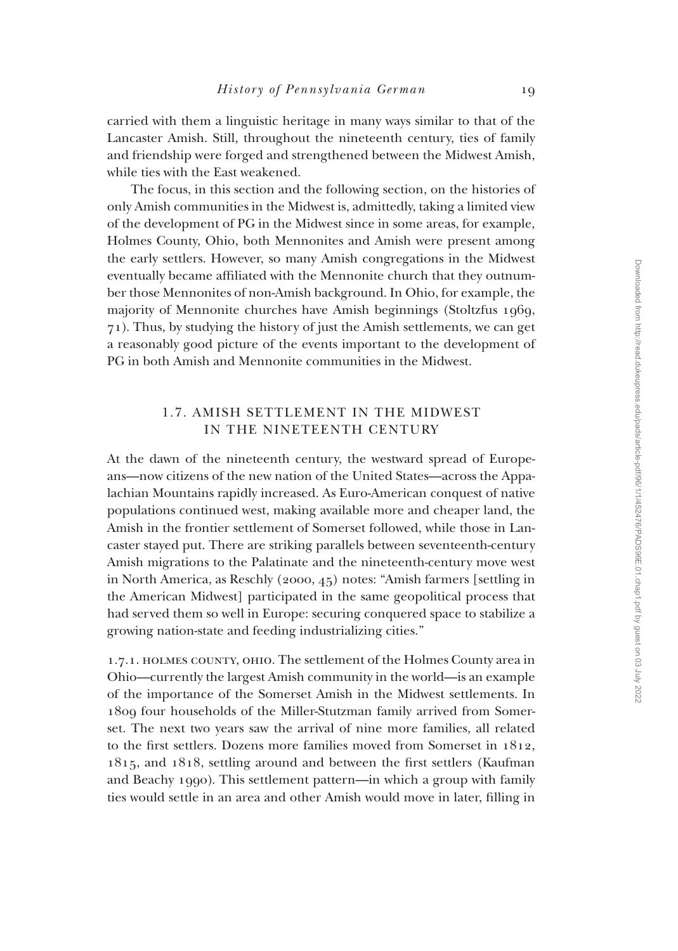carried with them a linguistic heritage in many ways similar to that of the Lancaster Amish. Still, throughout the nineteenth century, ties of family and friendship were forged and strengthened between the Midwest Amish, while ties with the East weakened.

The focus, in this section and the following section, on the histories of only Amish communities in the Midwest is, admittedly, taking a limited view of the development of PG in the Midwest since in some areas, for example, Holmes County, Ohio, both Mennonites and Amish were present among the early settlers. However, so many Amish congregations in the Midwest eventually became affiliated with the Mennonite church that they outnumber those Mennonites of non-Amish background. In Ohio, for example, the majority of Mennonite churches have Amish beginnings (Stoltzfus 1969, 71). Thus, by studying the history of just the Amish settlements, we can get a reasonably good picture of the events important to the development of PG in both Amish and Mennonite communities in the Midwest.

## 1.7. AMISH SETTLEMENT IN THE MIDWEST IN THE NINETEENTH CENTURY

At the dawn of the nineteenth century, the westward spread of Europeans—now citizens of the new nation of the United States—across the Appalachian Mountains rapidly increased. As Euro-American conquest of native populations continued west, making available more and cheaper land, the Amish in the frontier settlement of Somerset followed, while those in Lancaster stayed put. There are striking parallels between seventeenth-century Amish migrations to the Palatinate and the nineteenth-century move west in North America, as Reschly (2000, 45) notes: "Amish farmers [settling in the American Midwest] participated in the same geopolitical process that had served them so well in Europe: securing conquered space to stabilize a growing nation-state and feeding industrializing cities."

1.7.1. holmes county, ohio. The settlement of the Holmes County area in Ohio—currently the largest Amish community in the world—is an example of the importance of the Somerset Amish in the Midwest settlements. In 1809 four households of the Miller-Stutzman family arrived from Somerset. The next two years saw the arrival of nine more families, all related to the first settlers. Dozens more families moved from Somerset in 1812, 1815, and 1818, settling around and between the first settlers (Kaufman and Beachy 1990). This settlement pattern—in which a group with family ties would settle in an area and other Amish would move in later, filling in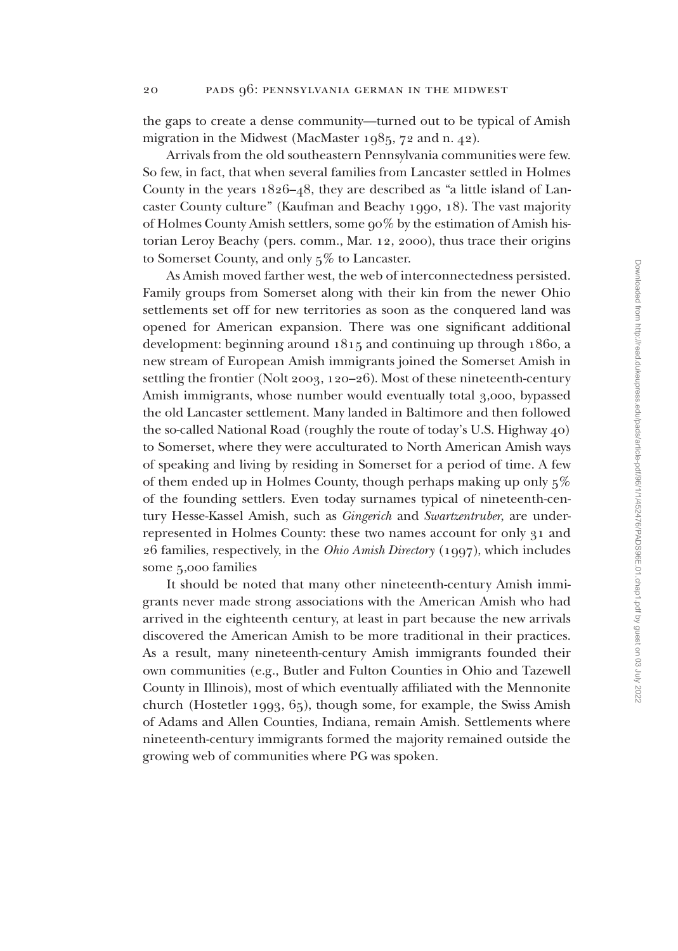the gaps to create a dense community—turned out to be typical of Amish migration in the Midwest (MacMaster 1985, 72 and n. 42).

Arrivals from the old southeastern Pennsylvania communities were few. So few, in fact, that when several families from Lancaster settled in Holmes County in the years 1826–48, they are described as "a little island of Lancaster County culture" (Kaufman and Beachy 1990, 18). The vast majority of Holmes County Amish settlers, some 90% by the estimation of Amish historian Leroy Beachy (pers. comm., Mar. 12, 2000), thus trace their origins to Somerset County, and only 5% to Lancaster.

As Amish moved farther west, the web of interconnectedness persisted. Family groups from Somerset along with their kin from the newer Ohio settlements set off for new territories as soon as the conquered land was opened for American expansion. There was one significant additional development: beginning around 1815 and continuing up through 1860, a new stream of European Amish immigrants joined the Somerset Amish in settling the frontier (Nolt 2003, 120–26). Most of these nineteenth-century Amish immigrants, whose number would eventually total 3,000, bypassed the old Lancaster settlement. Many landed in Baltimore and then followed the so-called National Road (roughly the route of today's U.S. Highway 40) to Somerset, where they were acculturated to North American Amish ways of speaking and living by residing in Somerset for a period of time. A few of them ended up in Holmes County, though perhaps making up only 5% of the founding settlers. Even today surnames typical of nineteenth-century Hesse-Kassel Amish, such as *Gingerich* and *Swartzentruber*, are underrepresented in Holmes County: these two names account for only 31 and 26 families, respectively, in the *Ohio Amish Directory* (1997), which includes some 5,000 families

It should be noted that many other nineteenth-century Amish immigrants never made strong associations with the American Amish who had arrived in the eighteenth century, at least in part because the new arrivals discovered the American Amish to be more traditional in their practices. As a result, many nineteenth-century Amish immigrants founded their own communities (e.g., Butler and Fulton Counties in Ohio and Tazewell County in Illinois), most of which eventually affiliated with the Mennonite church (Hostetler 1993, 65), though some, for example, the Swiss Amish of Adams and Allen Counties, Indiana, remain Amish. Settlements where nineteenth-century immigrants formed the majority remained outside the growing web of communities where PG was spoken.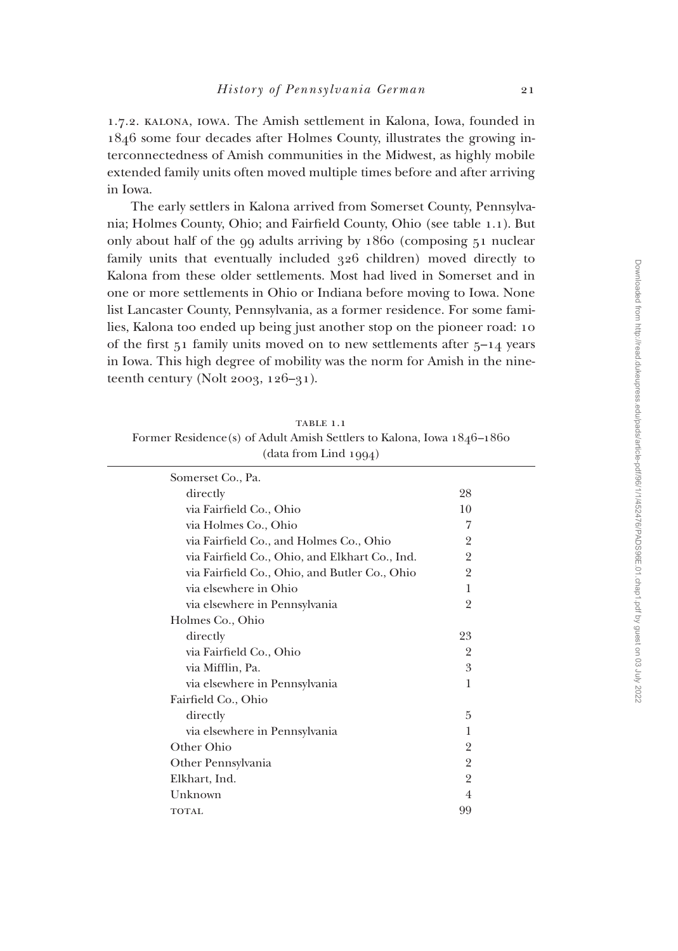1.7.2. kalona, iowa. The Amish settlement in Kalona, Iowa, founded in 1846 some four decades after Holmes County, illustrates the growing interconnectedness of Amish communities in the Midwest, as highly mobile extended family units often moved multiple times before and after arriving in Iowa.

The early settlers in Kalona arrived from Somerset County, Pennsylvania; Holmes County, Ohio; and Fairfield County, Ohio (see table 1.1). But only about half of the 99 adults arriving by 1860 (composing 51 nuclear family units that eventually included 326 children) moved directly to Kalona from these older settlements. Most had lived in Somerset and in one or more settlements in Ohio or Indiana before moving to Iowa. None list Lancaster County, Pennsylvania, as a former residence. For some families, Kalona too ended up being just another stop on the pioneer road: 10 of the first  $51$  family units moved on to new settlements after  $5-14$  years in Iowa. This high degree of mobility was the norm for Amish in the nineteenth century (Nolt 2003,  $126-31$ ).

TABLE 1.1 Former Residence(s) of Adult Amish Settlers to Kalona, Iowa 1846–1860 (data from Lind 1994)

| Somerset Co., Pa.                              |                |  |
|------------------------------------------------|----------------|--|
| directly                                       | 28             |  |
| via Fairfield Co., Ohio                        | 10             |  |
| via Holmes Co., Ohio                           | 7              |  |
| via Fairfield Co., and Holmes Co., Ohio        | 2              |  |
| via Fairfield Co., Ohio, and Elkhart Co., Ind. | $\overline{2}$ |  |
| via Fairfield Co., Ohio, and Butler Co., Ohio  | $\overline{2}$ |  |
| via elsewhere in Ohio                          | 1              |  |
| via elsewhere in Pennsylvania                  | 2              |  |
| Holmes Co., Ohio                               |                |  |
| directly                                       | 23             |  |
| via Fairfield Co., Ohio                        | $\overline{2}$ |  |
| via Mifflin, Pa.                               | 3              |  |
| via elsewhere in Pennsylvania                  | 1              |  |
| Fairfield Co., Ohio                            |                |  |
| directly                                       | 5              |  |
| via elsewhere in Pennsylvania                  | 1              |  |
| Other Ohio                                     | $\overline{2}$ |  |
| Other Pennsylvania                             | $\overline{2}$ |  |
| Elkhart, Ind.                                  | $\overline{2}$ |  |
| Unknown                                        | 4              |  |
| <b>TOTAL</b>                                   | 99             |  |
|                                                |                |  |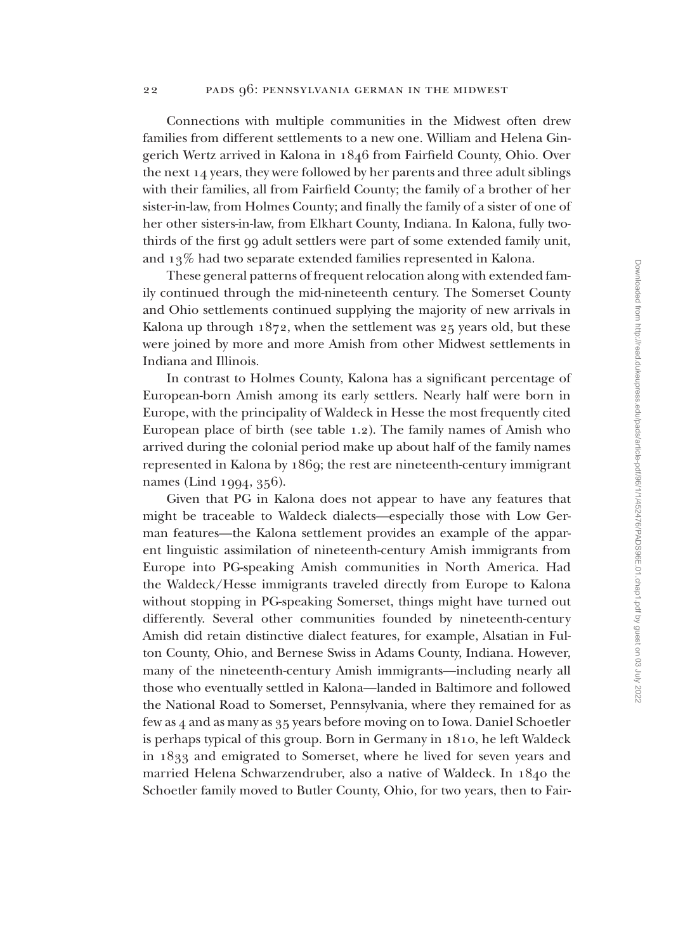Connections with multiple communities in the Midwest often drew families from different settlements to a new one. William and Helena Gingerich Wertz arrived in Kalona in 1846 from Fairfield County, Ohio. Over the next 14 years, they were followed by her parents and three adult siblings with their families, all from Fairfield County; the family of a brother of her sister-in-law, from Holmes County; and finally the family of a sister of one of her other sisters-in-law, from Elkhart County, Indiana. In Kalona, fully twothirds of the first 99 adult settlers were part of some extended family unit, and 13% had two separate extended families represented in Kalona.

These general patterns of frequent relocation along with extended family continued through the mid-nineteenth century. The Somerset County and Ohio settlements continued supplying the majority of new arrivals in Kalona up through 1872, when the settlement was 25 years old, but these were joined by more and more Amish from other Midwest settlements in Indiana and Illinois.

In contrast to Holmes County, Kalona has a significant percentage of European-born Amish among its early settlers. Nearly half were born in Europe, with the principality of Waldeck in Hesse the most frequently cited European place of birth (see table 1.2). The family names of Amish who arrived during the colonial period make up about half of the family names represented in Kalona by 1869; the rest are nineteenth-century immigrant names (Lind 1994, 356).

Given that PG in Kalona does not appear to have any features that might be traceable to Waldeck dialects—especially those with Low German features—the Kalona settlement provides an example of the apparent linguistic assimilation of nineteenth-century Amish immigrants from Europe into PG-speaking Amish communities in North America. Had the Waldeck/Hesse immigrants traveled directly from Europe to Kalona without stopping in PG-speaking Somerset, things might have turned out differently. Several other communities founded by nineteenth-century Amish did retain distinctive dialect features, for example, Alsatian in Fulton County, Ohio, and Bernese Swiss in Adams County, Indiana. However, many of the nineteenth-century Amish immigrants—including nearly all those who eventually settled in Kalona—landed in Baltimore and followed the National Road to Somerset, Pennsylvania, where they remained for as few as 4 and as many as 35 years before moving on to Iowa. Daniel Schoetler is perhaps typical of this group. Born in Germany in 1810, he left Waldeck in 1833 and emigrated to Somerset, where he lived for seven years and married Helena Schwarzendruber, also a native of Waldeck. In 1840 the Schoetler family moved to Butler County, Ohio, for two years, then to Fair-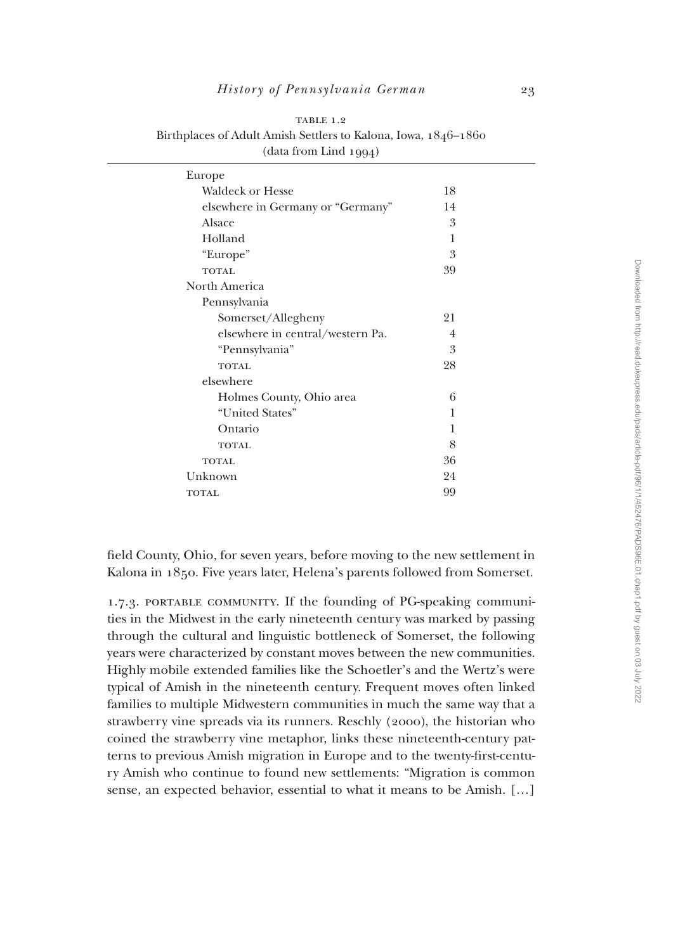| (data from Lind 1994)             |                |  |
|-----------------------------------|----------------|--|
| Europe                            |                |  |
| <b>Waldeck or Hesse</b>           | 18             |  |
| elsewhere in Germany or "Germany" | 14             |  |
| Alsace                            | 3              |  |
| Holland                           | 1              |  |
| "Europe"                          | 3              |  |
| <b>TOTAL</b>                      | 39             |  |
| North America                     |                |  |
| Pennsylvania                      |                |  |
| Somerset/Allegheny                | 21             |  |
| elsewhere in central/western Pa.  | $\overline{4}$ |  |
| "Pennsylvania"                    | 3              |  |
| <b>TOTAL</b>                      | 28             |  |
| elsewhere                         |                |  |
| Holmes County, Ohio area          | 6              |  |
| "United States"                   | 1              |  |
| Ontario                           | 1              |  |
| <b>TOTAL</b>                      | 8              |  |
| <b>TOTAL</b>                      | 36             |  |
| Unknown                           | 24             |  |
| <b>TOTAL</b>                      | 99             |  |

TABLE 1.2 Birthplaces of Adult Amish Settlers to Kalona, Iowa, 1846–1860

field County, Ohio, for seven years, before moving to the new settlement in Kalona in 1850. Five years later, Helena's parents followed from Somerset.

1.7.3. PORTABLE COMMUNITY. If the founding of PG-speaking communities in the Midwest in the early nineteenth century was marked by passing through the cultural and linguistic bottleneck of Somerset, the following years were characterized by constant moves between the new communities. Highly mobile extended families like the Schoetler's and the Wertz's were typical of Amish in the nineteenth century. Frequent moves often linked families to multiple Midwestern communities in much the same way that a strawberry vine spreads via its runners. Reschly (2000), the historian who coined the strawberry vine metaphor, links these nineteenth-century patterns to previous Amish migration in Europe and to the twenty-first-century Amish who continue to found new settlements: "Migration is common sense, an expected behavior, essential to what it means to be Amish. […]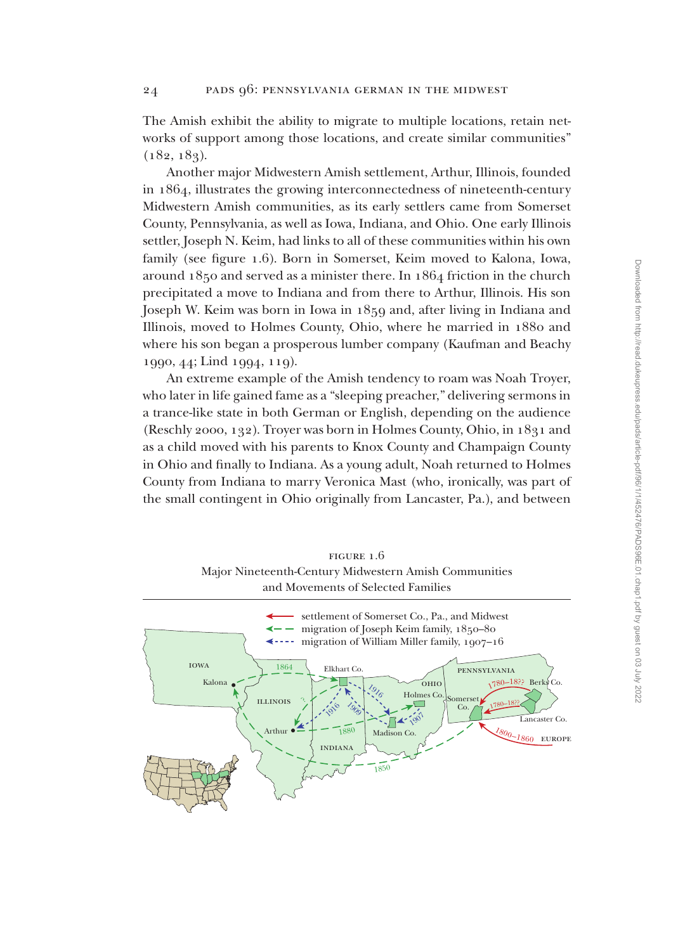The Amish exhibit the ability to migrate to multiple locations, retain networks of support among those locations, and create similar communities"  $(182, 183)$ .

Another major Midwestern Amish settlement, Arthur, Illinois, founded in 1864, illustrates the growing interconnectedness of nineteenth-century Midwestern Amish communities, as its early settlers came from Somerset County, Pennsylvania, as well as Iowa, Indiana, and Ohio. One early Illinois settler, Joseph N. Keim, had links to all of these communities within his own family (see figure 1.6). Born in Somerset, Keim moved to Kalona, Iowa, around 1850 and served as a minister there. In 1864 friction in the church precipitated a move to Indiana and from there to Arthur, Illinois. His son Joseph W. Keim was born in Iowa in 1859 and, after living in Indiana and Illinois, moved to Holmes County, Ohio, where he married in 1880 and where his son began a prosperous lumber company (Kaufman and Beachy 1990, 44; Lind 1994, 119).

An extreme example of the Amish tendency to roam was Noah Troyer, who later in life gained fame as a "sleeping preacher," delivering sermons in a trance-like state in both German or English, depending on the audience (Reschly 2000, 132). Troyer was born in Holmes County, Ohio, in 1831 and as a child moved with his parents to Knox County and Champaign County in Ohio and finally to Indiana. As a young adult, Noah returned to Holmes County from Indiana to marry Veronica Mast (who, ironically, was part of the small contingent in Ohio originally from Lancaster, Pa.), and between

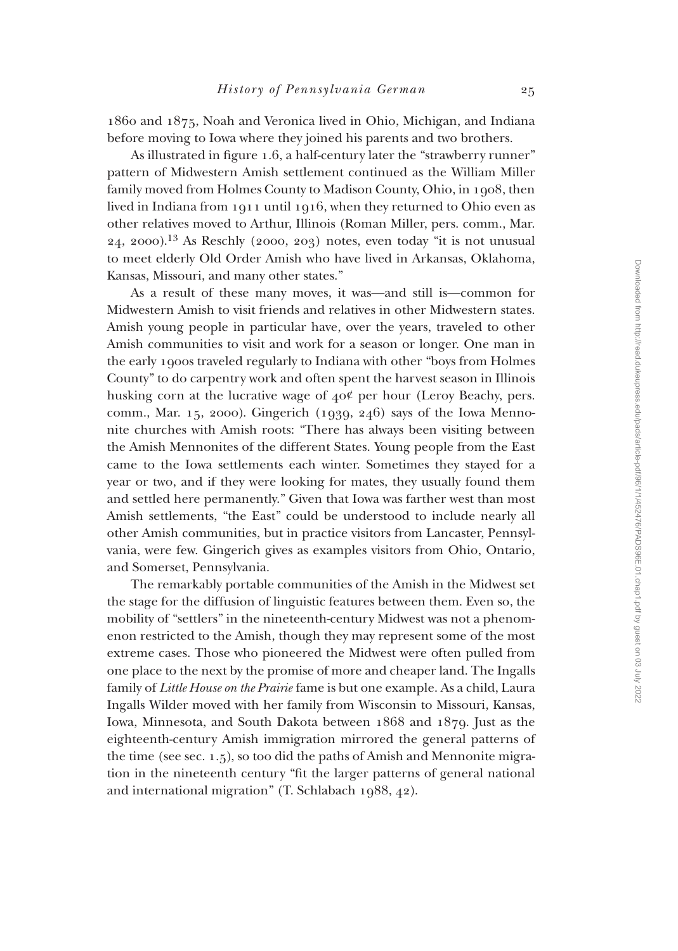1860 and 1875, Noah and Veronica lived in Ohio, Michigan, and Indiana before moving to Iowa where they joined his parents and two brothers.

As illustrated in figure 1.6, a half-century later the "strawberry runner" pattern of Midwestern Amish settlement continued as the William Miller family moved from Holmes County to Madison County, Ohio, in 1908, then lived in Indiana from 1911 until 1916, when they returned to Ohio even as other relatives moved to Arthur, Illinois (Roman Miller, pers. comm., Mar. 24, 2000).13 As Reschly (2000, 203) notes, even today "it is not unusual to meet elderly Old Order Amish who have lived in Arkansas, Oklahoma, Kansas, Missouri, and many other states."

As a result of these many moves, it was—and still is—common for Midwestern Amish to visit friends and relatives in other Midwestern states. Amish young people in particular have, over the years, traveled to other Amish communities to visit and work for a season or longer. One man in the early 1900s traveled regularly to Indiana with other "boys from Holmes County" to do carpentry work and often spent the harvest season in Illinois husking corn at the lucrative wage of 40¢ per hour (Leroy Beachy, pers. comm., Mar. 15, 2000). Gingerich (1939, 246) says of the Iowa Mennonite churches with Amish roots: "There has always been visiting between the Amish Mennonites of the different States. Young people from the East came to the Iowa settlements each winter. Sometimes they stayed for a year or two, and if they were looking for mates, they usually found them and settled here permanently." Given that Iowa was farther west than most Amish settlements, "the East" could be understood to include nearly all other Amish communities, but in practice visitors from Lancaster, Pennsylvania, were few. Gingerich gives as examples visitors from Ohio, Ontario, and Somerset, Pennsylvania.

The remarkably portable communities of the Amish in the Midwest set the stage for the diffusion of linguistic features between them. Even so, the mobility of "settlers" in the nineteenth-century Midwest was not a phenomenon restricted to the Amish, though they may represent some of the most extreme cases. Those who pioneered the Midwest were often pulled from one place to the next by the promise of more and cheaper land. The Ingalls family of *Little House on the Prairie* fame is but one example. As a child, Laura Ingalls Wilder moved with her family from Wisconsin to Missouri, Kansas, Iowa, Minnesota, and South Dakota between 1868 and 1879. Just as the eighteenth-century Amish immigration mirrored the general patterns of the time (see sec. 1.5), so too did the paths of Amish and Mennonite migration in the nineteenth century "fit the larger patterns of general national and international migration" (T. Schlabach 1988, 42).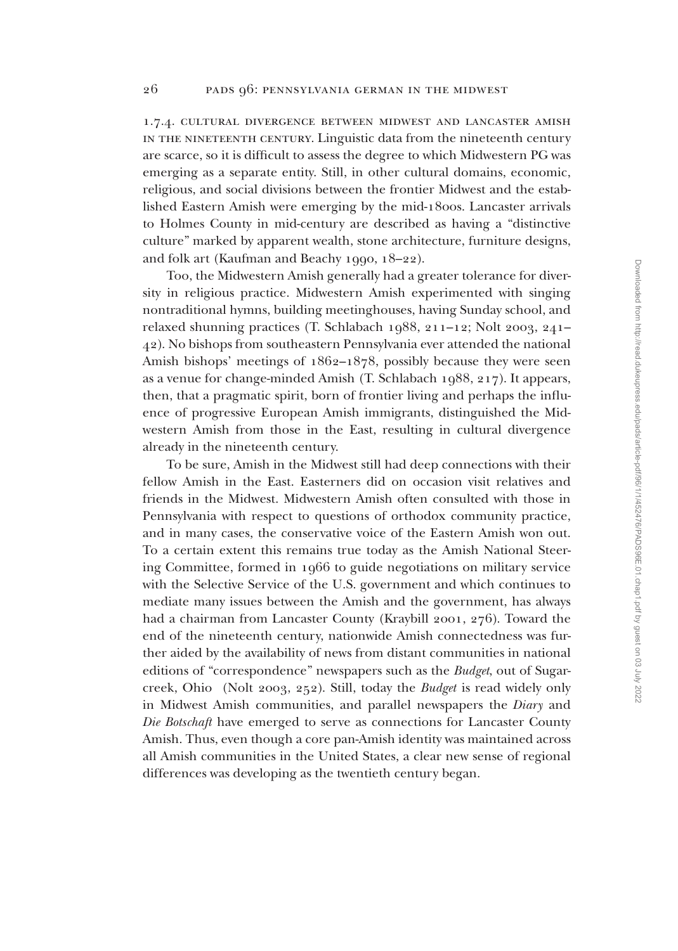1.7.4. cultural divergence between midwest and lancaster amish in the nineteenth century. Linguistic data from the nineteenth century are scarce, so it is difficult to assess the degree to which Midwestern PG was emerging as a separate entity. Still, in other cultural domains, economic, religious, and social divisions between the frontier Midwest and the established Eastern Amish were emerging by the mid-1800s. Lancaster arrivals to Holmes County in mid-century are described as having a "distinctive culture" marked by apparent wealth, stone architecture, furniture designs, and folk art (Kaufman and Beachy 1990, 18–22).

Too, the Midwestern Amish generally had a greater tolerance for diversity in religious practice. Midwestern Amish experimented with singing nontraditional hymns, building meetinghouses, having Sunday school, and relaxed shunning practices (T. Schlabach 1988, 211–12; Nolt 2003, 241– 42). No bishops from southeastern Pennsylvania ever attended the national Amish bishops' meetings of 1862–1878, possibly because they were seen as a venue for change-minded Amish (T. Schlabach 1988, 217). It appears, then, that a pragmatic spirit, born of frontier living and perhaps the influence of progressive European Amish immigrants, distinguished the Midwestern Amish from those in the East, resulting in cultural divergence already in the nineteenth century.

To be sure, Amish in the Midwest still had deep connections with their fellow Amish in the East. Easterners did on occasion visit relatives and friends in the Midwest. Midwestern Amish often consulted with those in Pennsylvania with respect to questions of orthodox community practice, and in many cases, the conservative voice of the Eastern Amish won out. To a certain extent this remains true today as the Amish National Steering Committee, formed in 1966 to guide negotiations on military service with the Selective Service of the U.S. government and which continues to mediate many issues between the Amish and the government, has always had a chairman from Lancaster County (Kraybill 2001, 276). Toward the end of the nineteenth century, nationwide Amish connectedness was further aided by the availability of news from distant communities in national editions of "correspondence" newspapers such as the *Budget*, out of Sugarcreek, Ohio (Nolt 2003, 252). Still, today the *Budget* is read widely only in Midwest Amish communities, and parallel newspapers the *Diary* and *Die Botschaft* have emerged to serve as connections for Lancaster County Amish. Thus, even though a core pan-Amish identity was maintained across all Amish communities in the United States, a clear new sense of regional differences was developing as the twentieth century began.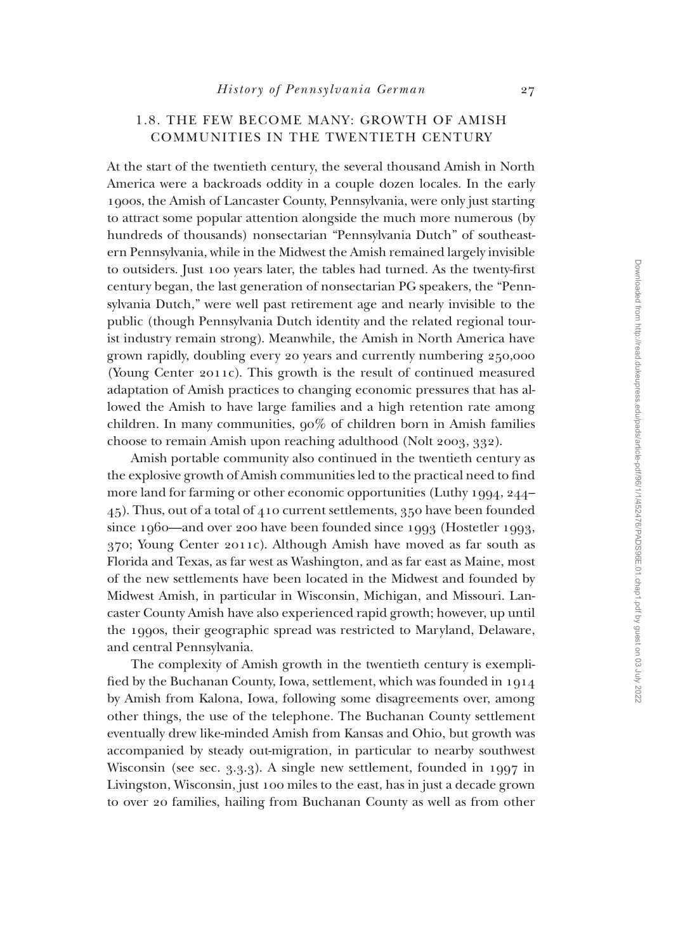#### 1.8. THE FEW BECOME MANY: GROWTH OF AMISH COMMUNITIES IN THE TWENTIETH CENTURY

At the start of the twentieth century, the several thousand Amish in North America were a backroads oddity in a couple dozen locales. In the early 1900s, the Amish of Lancaster County, Pennsylvania, were only just starting to attract some popular attention alongside the much more numerous (by hundreds of thousands) nonsectarian "Pennsylvania Dutch" of southeastern Pennsylvania, while in the Midwest the Amish remained largely invisible to outsiders. Just 100 years later, the tables had turned. As the twenty-first century began, the last generation of nonsectarian PG speakers, the "Pennsylvania Dutch," were well past retirement age and nearly invisible to the public (though Pennsylvania Dutch identity and the related regional tourist industry remain strong). Meanwhile, the Amish in North America have grown rapidly, doubling every 20 years and currently numbering 250,000 (Young Center 2011c). This growth is the result of continued measured adaptation of Amish practices to changing economic pressures that has allowed the Amish to have large families and a high retention rate among children. In many communities, 90% of children born in Amish families choose to remain Amish upon reaching adulthood (Nolt 2003, 332).

Amish portable community also continued in the twentieth century as the explosive growth of Amish communities led to the practical need to find more land for farming or other economic opportunities (Luthy 1994, 244– 45). Thus, out of a total of 410 current settlements, 350 have been founded since 1960—and over 200 have been founded since 1993 (Hostetler 1993, 370; Young Center 2011c). Although Amish have moved as far south as Florida and Texas, as far west as Washington, and as far east as Maine, most of the new settlements have been located in the Midwest and founded by Midwest Amish, in particular in Wisconsin, Michigan, and Missouri. Lancaster County Amish have also experienced rapid growth; however, up until the 1990s, their geographic spread was restricted to Maryland, Delaware, and central Pennsylvania.

The complexity of Amish growth in the twentieth century is exemplified by the Buchanan County, Iowa, settlement, which was founded in 1914 by Amish from Kalona, Iowa, following some disagreements over, among other things, the use of the telephone. The Buchanan County settlement eventually drew like-minded Amish from Kansas and Ohio, but growth was accompanied by steady out-migration, in particular to nearby southwest Wisconsin (see sec. 3.3.3). A single new settlement, founded in 1997 in Livingston, Wisconsin, just 100 miles to the east, has in just a decade grown to over 20 families, hailing from Buchanan County as well as from other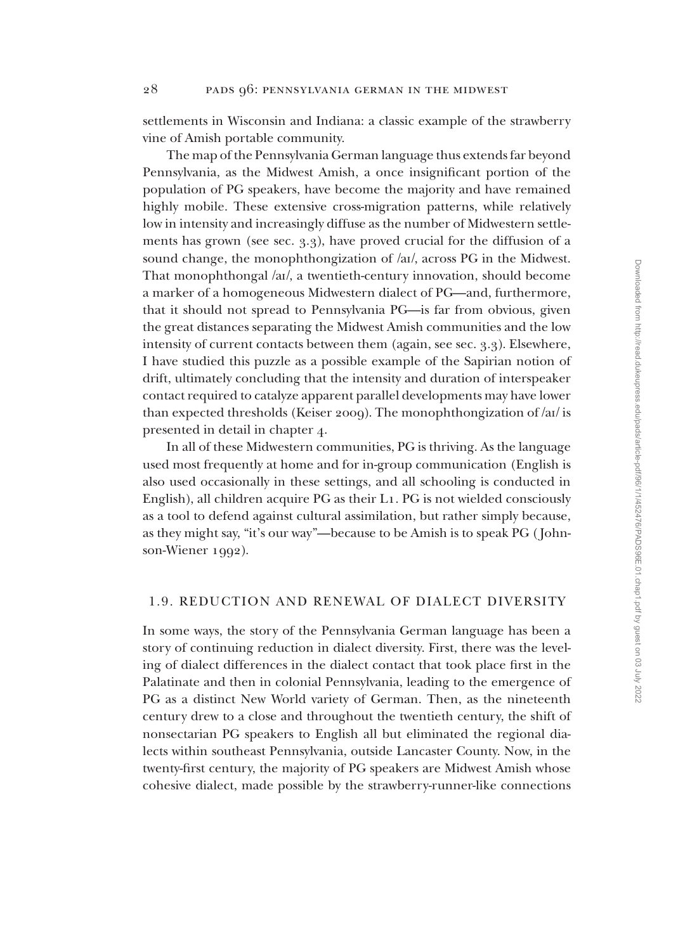settlements in Wisconsin and Indiana: a classic example of the strawberry vine of Amish portable community.

The map of the Pennsylvania German language thus extends far beyond Pennsylvania, as the Midwest Amish, a once insignificant portion of the population of PG speakers, have become the majority and have remained highly mobile. These extensive cross-migration patterns, while relatively low in intensity and increasingly diffuse as the number of Midwestern settlements has grown (see sec. 3.3), have proved crucial for the diffusion of a sound change, the monophthongization of /aI/, across PG in the Midwest. That monophthongal /aI/, a twentieth-century innovation, should become a marker of a homogeneous Midwestern dialect of PG—and, furthermore, that it should not spread to Pennsylvania PG—is far from obvious, given the great distances separating the Midwest Amish communities and the low intensity of current contacts between them (again, see sec. 3.3). Elsewhere, I have studied this puzzle as a possible example of the Sapirian notion of drift, ultimately concluding that the intensity and duration of interspeaker contact required to catalyze apparent parallel developments may have lower than expected thresholds (Keiser 2009). The monophthongization of /aI/ is presented in detail in chapter 4.

In all of these Midwestern communities, PG is thriving. As the language used most frequently at home and for in-group communication (English is also used occasionally in these settings, and all schooling is conducted in English), all children acquire PG as their L1. PG is not wielded consciously as a tool to defend against cultural assimilation, but rather simply because, as they might say, "it's our way"—because to be Amish is to speak PG ( Johnson-Wiener 1992).

#### 1.9. REDUCTION AND RENEWAL OF DIALECT DIVERSITY

In some ways, the story of the Pennsylvania German language has been a story of continuing reduction in dialect diversity. First, there was the leveling of dialect differences in the dialect contact that took place first in the Palatinate and then in colonial Pennsylvania, leading to the emergence of PG as a distinct New World variety of German. Then, as the nineteenth century drew to a close and throughout the twentieth century, the shift of nonsectarian PG speakers to English all but eliminated the regional dialects within southeast Pennsylvania, outside Lancaster County. Now, in the twenty-first century, the majority of PG speakers are Midwest Amish whose cohesive dialect, made possible by the strawberry-runner-like connections